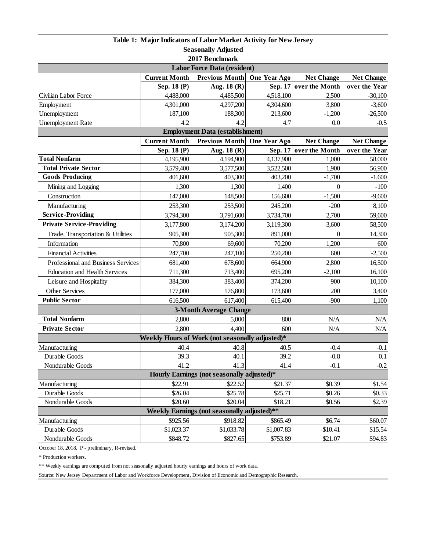|                                               | Table 1: Major Indicators of Labor Market Activity for New Jersey |                                                        |                        |                                     |                                    |  |  |  |
|-----------------------------------------------|-------------------------------------------------------------------|--------------------------------------------------------|------------------------|-------------------------------------|------------------------------------|--|--|--|
|                                               |                                                                   | <b>Seasonally Adjusted</b>                             |                        |                                     |                                    |  |  |  |
|                                               |                                                                   | 2017 Benchmark                                         |                        |                                     |                                    |  |  |  |
|                                               |                                                                   | <b>Labor Force Data (resident)</b>                     |                        |                                     |                                    |  |  |  |
|                                               | <b>Current Month</b>                                              | <b>Previous Month</b>                                  | One Year Ago           | <b>Net Change</b>                   | <b>Net Change</b>                  |  |  |  |
|                                               | Sep. 18 (P)                                                       | Aug. 18 (R)                                            | Sep. 17                | over the Month                      | over the Year                      |  |  |  |
| Civilian Labor Force                          | 4,488,000                                                         | 4,485,500                                              | 4,518,100              | 2,500                               | $-30,100$                          |  |  |  |
| Employment                                    | 4,301,000                                                         | 4,297,200                                              | 4,304,600              | 3,800                               | $-3,600$                           |  |  |  |
| Unemployment                                  | 187,100                                                           | 188,300                                                | 213,600                | $-1,200$                            | $-26,500$                          |  |  |  |
| <b>Unemployment Rate</b>                      | 4.2                                                               | 4.2                                                    | 4.7                    | 0.0                                 | $-0.5$                             |  |  |  |
|                                               |                                                                   | <b>Employment Data (establishment)</b>                 |                        |                                     |                                    |  |  |  |
|                                               | <b>Current Month</b>                                              | <b>Previous Month</b>                                  | One Year Ago           | <b>Net Change</b><br>over the Month | <b>Net Change</b><br>over the Year |  |  |  |
| <b>Total Nonfarm</b>                          | Sep. 18 (P)                                                       | Aug. 18 (R)<br>4,194,900                               | Sep. 17<br>4,137,900   | 1,000                               |                                    |  |  |  |
| <b>Total Private Sector</b>                   | 4,195,900                                                         |                                                        |                        | 1,900                               | 58,000                             |  |  |  |
| <b>Goods Producing</b>                        | 3,579,400<br>401,600                                              | 3,577,500<br>403,300                                   | 3,522,500<br>403,200   | $-1,700$                            | 56,900<br>$-1,600$                 |  |  |  |
| Mining and Logging                            | 1,300                                                             | 1,300                                                  | 1,400                  | $\theta$                            | $-100$                             |  |  |  |
| Construction                                  | 147,000                                                           | 148,500                                                | 156,600                | $-1,500$                            | $-9,600$                           |  |  |  |
| Manufacturing                                 | 253,300                                                           | 253,500                                                | 245,200                | $-200$                              | 8,100                              |  |  |  |
| <b>Service-Providing</b>                      |                                                                   | 3,791,600                                              |                        | 2,700                               |                                    |  |  |  |
| <b>Private Service-Providing</b>              | 3,794,300<br>3,177,800                                            |                                                        | 3,734,700<br>3,119,300 | 3,600                               | 59,600                             |  |  |  |
|                                               |                                                                   | 3,174,200<br>905,300                                   | 891,000                | $\overline{0}$                      | 58,500                             |  |  |  |
| Trade, Transportation & Utilities             | 905,300                                                           |                                                        |                        |                                     | 14,300                             |  |  |  |
| Information                                   | 70,800                                                            | 69,600                                                 | 70,200                 | 1,200                               | 600                                |  |  |  |
| <b>Financial Activities</b>                   | 247,700                                                           | 247,100                                                | 250,200                | 600                                 | $-2,500$                           |  |  |  |
| Professional and Business Services            | 681,400                                                           | 678,600                                                | 664,900                | 2,800                               | 16,500                             |  |  |  |
| <b>Education and Health Services</b>          | 711,300                                                           | 713,400                                                | 695,200                | $-2,100$                            | 16,100                             |  |  |  |
| Leisure and Hospitality                       | 384,300                                                           | 383,400                                                | 374,200                | 900                                 | 10,100                             |  |  |  |
| Other Services                                | 177,000                                                           | 176,800                                                | 173,600                | 200                                 | 3,400                              |  |  |  |
| <b>Public Sector</b>                          | 616,500                                                           | 617,400                                                | 615,400                | $-900$                              | 1,100                              |  |  |  |
|                                               |                                                                   | <b>3-Month Average Change</b>                          |                        |                                     |                                    |  |  |  |
| <b>Total Nonfarm</b>                          | 2,800                                                             | 5,000                                                  | 800                    | N/A                                 | N/A                                |  |  |  |
| <b>Private Sector</b>                         | 2,800                                                             | 4,400                                                  | 600                    | N/A                                 | N/A                                |  |  |  |
|                                               |                                                                   | Weekly Hours of Work (not seasonally adjusted)*        |                        |                                     |                                    |  |  |  |
| Manufacturing                                 | 40.4                                                              | 40.8                                                   | 40.5                   | $-0.4$                              | $-0.1$                             |  |  |  |
| Durable Goods                                 | 39.3                                                              | 40.1                                                   | 39.2                   | $-0.8$                              | 0.1                                |  |  |  |
| Nondurable Goods                              | 41.2                                                              | 41.3                                                   | 41.4                   | $-0.1$                              | $-0.2$                             |  |  |  |
| Hourly Earnings (not seasonally adjusted)*    |                                                                   |                                                        |                        |                                     |                                    |  |  |  |
| Manufacturing                                 | \$22.91                                                           | \$22.52                                                | \$21.37                | \$0.39                              | \$1.54                             |  |  |  |
| Durable Goods<br>Nondurable Goods             | \$26.04<br>\$20.60                                                | \$25.78                                                | \$25.71<br>\$18.21     | \$0.26                              | \$0.33                             |  |  |  |
|                                               |                                                                   | \$20.04<br>Weekly Earnings (not seasonally adjusted)** |                        | \$0.56                              | \$2.39                             |  |  |  |
| Manufacturing                                 | \$925.56                                                          | \$918.82                                               |                        | \$6.74                              |                                    |  |  |  |
| Durable Goods                                 | \$1,023.37                                                        | \$1,033.78                                             | \$865.49<br>\$1,007.83 | $-$10.41$                           | \$60.07<br>\$15.54                 |  |  |  |
| Nondurable Goods                              | \$848.72                                                          | \$827.65                                               | \$753.89               | \$21.07                             | \$94.83                            |  |  |  |
| October 18, 2018. P - preliminary, R-revised. |                                                                   |                                                        |                        |                                     |                                    |  |  |  |

\* Production workers.

\*\* Weekly earnings are computed from not seasonally adjusted hourly earnings and hours of work data.

Source: New Jersey Department of Labor and Workforce Development, Division of Economic and Demographic Research.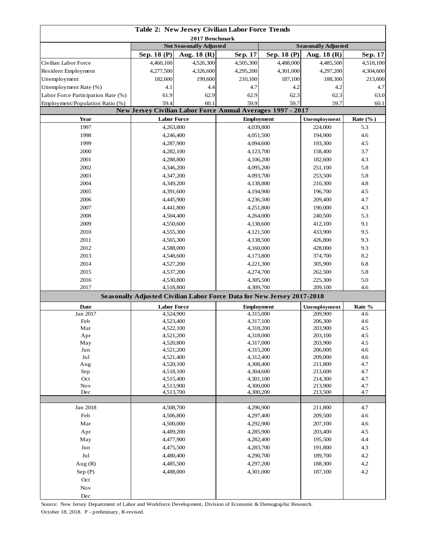| 2017 Benchmark<br><b>Not Seasonally Adjusted</b><br><b>Seasonally Adjusted</b><br>Sep. 18 (P)<br>Sep. 18 (P)<br>Aug. $18(R)$<br>Sep. 17<br>Aug. $18(R)$<br>Sep. 17<br>Civilian Labor Force<br>4,460,100<br>4,526,300<br>4,505,300<br>4,488,000<br>4,485,500<br>4,518,100<br>4,277,500<br>4,326,600<br>4,295,200<br>4,301,000<br>4,297,200<br>4,304,600<br>Resident Employment<br>Unemployment<br>182,600<br>199,600<br>210,100<br>187,100<br>188,300<br>213,600<br>Unemployment Rate (%)<br>4.7<br>4.1<br>4.4<br>4.7<br>4.2<br>4.2<br>Labor Force Participation Rate (%)<br>61.9<br>62.9<br>62.9<br>62.3<br>62.3<br>63.0<br>59.4<br>59.9<br>59.7<br>59.7<br>Employment/Population Ratio (%)<br>60.1<br>60.1<br>New Jersey Civilian Labor Force Annual Averages 1997 - 2017<br>Year<br><b>Labor Force</b><br><b>Employment</b><br>Unemployment<br>Rate $(\%$ )<br>1997<br>4,263,800<br>4,039,800<br>5.3<br>224,000<br>1998<br>4,051,500<br>194,900<br>4.6<br>4,246,400<br>1999<br>4,094,600<br>193,300<br>4.5<br>4,287,900<br>2000<br>4,123,700<br>3.7<br>4,282,100<br>158,400<br>2001<br>182,600<br>4.3<br>4,288,800<br>4,106,200<br>2002<br>251,100<br>5.8<br>4,346,200<br>4,095,200<br>2003<br>253,500<br>5.8<br>4,347,200<br>4,093,700<br>2004<br>4.8<br>4,349,200<br>4,138,800<br>210,300<br>2005<br>4,391,600<br>196,700<br>4.5<br>4,194,900<br>2006<br>209,400<br>4.7<br>4,445,900<br>4,236,500<br>2007<br>4.3<br>4,441,800<br>4,251,800<br>190,000<br>2008<br>5.3<br>4,504,400<br>4,264,000<br>240,500<br>2009<br>4,138,600<br>9.1<br>4,550,600<br>412,100<br>2010<br>9.5<br>4,555,300<br>4,121,500<br>433,900<br>2011<br>9.3<br>4,565,300<br>4,138,500<br>426,800<br>2012<br>4,588,000<br>4,160,000<br>428,000<br>9.3<br>2013<br>374,700<br>8.2<br>4,548,600<br>4,173,800<br>2014<br>305,900<br>6.8<br>4,527,200<br>4,221,300<br>2015<br>4,537,200<br>4,274,700<br>262,500<br>5.8<br>2016<br>4,530,800<br>4,305,500<br>225,300<br>5.0<br>2017<br>4,518,800<br>4.6<br>4,309,700<br>209,100<br>Seasonally Adjusted Civilian Labor Force Data for New Jersey 2017-2018<br><b>Date</b><br><b>Labor Force</b><br><b>Employment</b><br>Rate %<br>Unemployment<br>Jan 2017<br>4,524,900<br>4,315,000<br>209,900<br>4.6<br>Feb<br>4,523,400<br>4,317,100<br>206,300<br>4.6<br>Mar<br>4,522,100<br>203,900<br>4.5<br>4,318,200<br>203,100<br>4,521,200<br>4,318,000<br>4.5<br>Apr<br>4,520,800<br>4,317,000<br>203,900<br>4.5<br>May<br>4.6<br>Jun<br>4,521,200<br>4,315,200<br>206,000<br>Jul<br>4,521,400<br>4,312,400<br>209,000<br>4.6<br>4.7<br>Aug<br>4,520,100<br>4,308,400<br>211,800<br>Sep<br>4.7<br>4,518,100<br>4,304,600<br>213,600<br>4.7<br>Oct<br>4,301,100<br>214,300<br>4,515,400<br>Nov<br>4.7<br>4,513,900<br>4,300,000<br>213,900<br>Dec<br>4.7<br>4,513,700<br>4,300,200<br>213,500<br>Jan 2018<br>4.7<br>4,508,700<br>4,296,900<br>211,800<br>Feb<br>4,506,800<br>4,297,400<br>209,500<br>4.6<br>Mar<br>207,100<br>4,500,000<br>4,292,900<br>4.6<br>4.5<br>Apr<br>4,489,200<br>4,285,900<br>203,400<br>4.4<br>May<br>4,477,900<br>4,282,400<br>195,500<br>4.3<br>Jun<br>4,475,500<br>4,283,700<br>191,800<br>Jul<br>189,700<br>4.2<br>4,480,400<br>4,290,700<br>Aug $(R)$<br>4,297,200<br>188,300<br>4.2<br>4,485,500<br>187,100<br>4.2<br>Sep $(P)$<br>4,488,000<br>4,301,000<br>Oct<br><b>Nov</b> | Table 2: New Jersey Civilian Labor Force Trends |  |  |  |  |  |  |  |
|---------------------------------------------------------------------------------------------------------------------------------------------------------------------------------------------------------------------------------------------------------------------------------------------------------------------------------------------------------------------------------------------------------------------------------------------------------------------------------------------------------------------------------------------------------------------------------------------------------------------------------------------------------------------------------------------------------------------------------------------------------------------------------------------------------------------------------------------------------------------------------------------------------------------------------------------------------------------------------------------------------------------------------------------------------------------------------------------------------------------------------------------------------------------------------------------------------------------------------------------------------------------------------------------------------------------------------------------------------------------------------------------------------------------------------------------------------------------------------------------------------------------------------------------------------------------------------------------------------------------------------------------------------------------------------------------------------------------------------------------------------------------------------------------------------------------------------------------------------------------------------------------------------------------------------------------------------------------------------------------------------------------------------------------------------------------------------------------------------------------------------------------------------------------------------------------------------------------------------------------------------------------------------------------------------------------------------------------------------------------------------------------------------------------------------------------------------------------------------------------------------------------------------------------------------------------------------------------------------------------------------------------------------------------------------------------------------------------------------------------------------------------------------------------------------------------------------------------------------------------------------------------------------------------------------------------------------------------------------------------------------------------------------------------------------------------------------------------------------------------------------------------------------------------------------------------------------------------------------------------------------------------------------------------------------------------------|-------------------------------------------------|--|--|--|--|--|--|--|
|                                                                                                                                                                                                                                                                                                                                                                                                                                                                                                                                                                                                                                                                                                                                                                                                                                                                                                                                                                                                                                                                                                                                                                                                                                                                                                                                                                                                                                                                                                                                                                                                                                                                                                                                                                                                                                                                                                                                                                                                                                                                                                                                                                                                                                                                                                                                                                                                                                                                                                                                                                                                                                                                                                                                                                                                                                                                                                                                                                                                                                                                                                                                                                                                                                                                                                                           |                                                 |  |  |  |  |  |  |  |
|                                                                                                                                                                                                                                                                                                                                                                                                                                                                                                                                                                                                                                                                                                                                                                                                                                                                                                                                                                                                                                                                                                                                                                                                                                                                                                                                                                                                                                                                                                                                                                                                                                                                                                                                                                                                                                                                                                                                                                                                                                                                                                                                                                                                                                                                                                                                                                                                                                                                                                                                                                                                                                                                                                                                                                                                                                                                                                                                                                                                                                                                                                                                                                                                                                                                                                                           |                                                 |  |  |  |  |  |  |  |
|                                                                                                                                                                                                                                                                                                                                                                                                                                                                                                                                                                                                                                                                                                                                                                                                                                                                                                                                                                                                                                                                                                                                                                                                                                                                                                                                                                                                                                                                                                                                                                                                                                                                                                                                                                                                                                                                                                                                                                                                                                                                                                                                                                                                                                                                                                                                                                                                                                                                                                                                                                                                                                                                                                                                                                                                                                                                                                                                                                                                                                                                                                                                                                                                                                                                                                                           |                                                 |  |  |  |  |  |  |  |
|                                                                                                                                                                                                                                                                                                                                                                                                                                                                                                                                                                                                                                                                                                                                                                                                                                                                                                                                                                                                                                                                                                                                                                                                                                                                                                                                                                                                                                                                                                                                                                                                                                                                                                                                                                                                                                                                                                                                                                                                                                                                                                                                                                                                                                                                                                                                                                                                                                                                                                                                                                                                                                                                                                                                                                                                                                                                                                                                                                                                                                                                                                                                                                                                                                                                                                                           |                                                 |  |  |  |  |  |  |  |
|                                                                                                                                                                                                                                                                                                                                                                                                                                                                                                                                                                                                                                                                                                                                                                                                                                                                                                                                                                                                                                                                                                                                                                                                                                                                                                                                                                                                                                                                                                                                                                                                                                                                                                                                                                                                                                                                                                                                                                                                                                                                                                                                                                                                                                                                                                                                                                                                                                                                                                                                                                                                                                                                                                                                                                                                                                                                                                                                                                                                                                                                                                                                                                                                                                                                                                                           |                                                 |  |  |  |  |  |  |  |
|                                                                                                                                                                                                                                                                                                                                                                                                                                                                                                                                                                                                                                                                                                                                                                                                                                                                                                                                                                                                                                                                                                                                                                                                                                                                                                                                                                                                                                                                                                                                                                                                                                                                                                                                                                                                                                                                                                                                                                                                                                                                                                                                                                                                                                                                                                                                                                                                                                                                                                                                                                                                                                                                                                                                                                                                                                                                                                                                                                                                                                                                                                                                                                                                                                                                                                                           |                                                 |  |  |  |  |  |  |  |
|                                                                                                                                                                                                                                                                                                                                                                                                                                                                                                                                                                                                                                                                                                                                                                                                                                                                                                                                                                                                                                                                                                                                                                                                                                                                                                                                                                                                                                                                                                                                                                                                                                                                                                                                                                                                                                                                                                                                                                                                                                                                                                                                                                                                                                                                                                                                                                                                                                                                                                                                                                                                                                                                                                                                                                                                                                                                                                                                                                                                                                                                                                                                                                                                                                                                                                                           |                                                 |  |  |  |  |  |  |  |
|                                                                                                                                                                                                                                                                                                                                                                                                                                                                                                                                                                                                                                                                                                                                                                                                                                                                                                                                                                                                                                                                                                                                                                                                                                                                                                                                                                                                                                                                                                                                                                                                                                                                                                                                                                                                                                                                                                                                                                                                                                                                                                                                                                                                                                                                                                                                                                                                                                                                                                                                                                                                                                                                                                                                                                                                                                                                                                                                                                                                                                                                                                                                                                                                                                                                                                                           |                                                 |  |  |  |  |  |  |  |
|                                                                                                                                                                                                                                                                                                                                                                                                                                                                                                                                                                                                                                                                                                                                                                                                                                                                                                                                                                                                                                                                                                                                                                                                                                                                                                                                                                                                                                                                                                                                                                                                                                                                                                                                                                                                                                                                                                                                                                                                                                                                                                                                                                                                                                                                                                                                                                                                                                                                                                                                                                                                                                                                                                                                                                                                                                                                                                                                                                                                                                                                                                                                                                                                                                                                                                                           |                                                 |  |  |  |  |  |  |  |
|                                                                                                                                                                                                                                                                                                                                                                                                                                                                                                                                                                                                                                                                                                                                                                                                                                                                                                                                                                                                                                                                                                                                                                                                                                                                                                                                                                                                                                                                                                                                                                                                                                                                                                                                                                                                                                                                                                                                                                                                                                                                                                                                                                                                                                                                                                                                                                                                                                                                                                                                                                                                                                                                                                                                                                                                                                                                                                                                                                                                                                                                                                                                                                                                                                                                                                                           |                                                 |  |  |  |  |  |  |  |
|                                                                                                                                                                                                                                                                                                                                                                                                                                                                                                                                                                                                                                                                                                                                                                                                                                                                                                                                                                                                                                                                                                                                                                                                                                                                                                                                                                                                                                                                                                                                                                                                                                                                                                                                                                                                                                                                                                                                                                                                                                                                                                                                                                                                                                                                                                                                                                                                                                                                                                                                                                                                                                                                                                                                                                                                                                                                                                                                                                                                                                                                                                                                                                                                                                                                                                                           |                                                 |  |  |  |  |  |  |  |
|                                                                                                                                                                                                                                                                                                                                                                                                                                                                                                                                                                                                                                                                                                                                                                                                                                                                                                                                                                                                                                                                                                                                                                                                                                                                                                                                                                                                                                                                                                                                                                                                                                                                                                                                                                                                                                                                                                                                                                                                                                                                                                                                                                                                                                                                                                                                                                                                                                                                                                                                                                                                                                                                                                                                                                                                                                                                                                                                                                                                                                                                                                                                                                                                                                                                                                                           |                                                 |  |  |  |  |  |  |  |
|                                                                                                                                                                                                                                                                                                                                                                                                                                                                                                                                                                                                                                                                                                                                                                                                                                                                                                                                                                                                                                                                                                                                                                                                                                                                                                                                                                                                                                                                                                                                                                                                                                                                                                                                                                                                                                                                                                                                                                                                                                                                                                                                                                                                                                                                                                                                                                                                                                                                                                                                                                                                                                                                                                                                                                                                                                                                                                                                                                                                                                                                                                                                                                                                                                                                                                                           |                                                 |  |  |  |  |  |  |  |
|                                                                                                                                                                                                                                                                                                                                                                                                                                                                                                                                                                                                                                                                                                                                                                                                                                                                                                                                                                                                                                                                                                                                                                                                                                                                                                                                                                                                                                                                                                                                                                                                                                                                                                                                                                                                                                                                                                                                                                                                                                                                                                                                                                                                                                                                                                                                                                                                                                                                                                                                                                                                                                                                                                                                                                                                                                                                                                                                                                                                                                                                                                                                                                                                                                                                                                                           |                                                 |  |  |  |  |  |  |  |
|                                                                                                                                                                                                                                                                                                                                                                                                                                                                                                                                                                                                                                                                                                                                                                                                                                                                                                                                                                                                                                                                                                                                                                                                                                                                                                                                                                                                                                                                                                                                                                                                                                                                                                                                                                                                                                                                                                                                                                                                                                                                                                                                                                                                                                                                                                                                                                                                                                                                                                                                                                                                                                                                                                                                                                                                                                                                                                                                                                                                                                                                                                                                                                                                                                                                                                                           |                                                 |  |  |  |  |  |  |  |
|                                                                                                                                                                                                                                                                                                                                                                                                                                                                                                                                                                                                                                                                                                                                                                                                                                                                                                                                                                                                                                                                                                                                                                                                                                                                                                                                                                                                                                                                                                                                                                                                                                                                                                                                                                                                                                                                                                                                                                                                                                                                                                                                                                                                                                                                                                                                                                                                                                                                                                                                                                                                                                                                                                                                                                                                                                                                                                                                                                                                                                                                                                                                                                                                                                                                                                                           |                                                 |  |  |  |  |  |  |  |
|                                                                                                                                                                                                                                                                                                                                                                                                                                                                                                                                                                                                                                                                                                                                                                                                                                                                                                                                                                                                                                                                                                                                                                                                                                                                                                                                                                                                                                                                                                                                                                                                                                                                                                                                                                                                                                                                                                                                                                                                                                                                                                                                                                                                                                                                                                                                                                                                                                                                                                                                                                                                                                                                                                                                                                                                                                                                                                                                                                                                                                                                                                                                                                                                                                                                                                                           |                                                 |  |  |  |  |  |  |  |
|                                                                                                                                                                                                                                                                                                                                                                                                                                                                                                                                                                                                                                                                                                                                                                                                                                                                                                                                                                                                                                                                                                                                                                                                                                                                                                                                                                                                                                                                                                                                                                                                                                                                                                                                                                                                                                                                                                                                                                                                                                                                                                                                                                                                                                                                                                                                                                                                                                                                                                                                                                                                                                                                                                                                                                                                                                                                                                                                                                                                                                                                                                                                                                                                                                                                                                                           |                                                 |  |  |  |  |  |  |  |
|                                                                                                                                                                                                                                                                                                                                                                                                                                                                                                                                                                                                                                                                                                                                                                                                                                                                                                                                                                                                                                                                                                                                                                                                                                                                                                                                                                                                                                                                                                                                                                                                                                                                                                                                                                                                                                                                                                                                                                                                                                                                                                                                                                                                                                                                                                                                                                                                                                                                                                                                                                                                                                                                                                                                                                                                                                                                                                                                                                                                                                                                                                                                                                                                                                                                                                                           |                                                 |  |  |  |  |  |  |  |
|                                                                                                                                                                                                                                                                                                                                                                                                                                                                                                                                                                                                                                                                                                                                                                                                                                                                                                                                                                                                                                                                                                                                                                                                                                                                                                                                                                                                                                                                                                                                                                                                                                                                                                                                                                                                                                                                                                                                                                                                                                                                                                                                                                                                                                                                                                                                                                                                                                                                                                                                                                                                                                                                                                                                                                                                                                                                                                                                                                                                                                                                                                                                                                                                                                                                                                                           |                                                 |  |  |  |  |  |  |  |
|                                                                                                                                                                                                                                                                                                                                                                                                                                                                                                                                                                                                                                                                                                                                                                                                                                                                                                                                                                                                                                                                                                                                                                                                                                                                                                                                                                                                                                                                                                                                                                                                                                                                                                                                                                                                                                                                                                                                                                                                                                                                                                                                                                                                                                                                                                                                                                                                                                                                                                                                                                                                                                                                                                                                                                                                                                                                                                                                                                                                                                                                                                                                                                                                                                                                                                                           |                                                 |  |  |  |  |  |  |  |
|                                                                                                                                                                                                                                                                                                                                                                                                                                                                                                                                                                                                                                                                                                                                                                                                                                                                                                                                                                                                                                                                                                                                                                                                                                                                                                                                                                                                                                                                                                                                                                                                                                                                                                                                                                                                                                                                                                                                                                                                                                                                                                                                                                                                                                                                                                                                                                                                                                                                                                                                                                                                                                                                                                                                                                                                                                                                                                                                                                                                                                                                                                                                                                                                                                                                                                                           |                                                 |  |  |  |  |  |  |  |
|                                                                                                                                                                                                                                                                                                                                                                                                                                                                                                                                                                                                                                                                                                                                                                                                                                                                                                                                                                                                                                                                                                                                                                                                                                                                                                                                                                                                                                                                                                                                                                                                                                                                                                                                                                                                                                                                                                                                                                                                                                                                                                                                                                                                                                                                                                                                                                                                                                                                                                                                                                                                                                                                                                                                                                                                                                                                                                                                                                                                                                                                                                                                                                                                                                                                                                                           |                                                 |  |  |  |  |  |  |  |
|                                                                                                                                                                                                                                                                                                                                                                                                                                                                                                                                                                                                                                                                                                                                                                                                                                                                                                                                                                                                                                                                                                                                                                                                                                                                                                                                                                                                                                                                                                                                                                                                                                                                                                                                                                                                                                                                                                                                                                                                                                                                                                                                                                                                                                                                                                                                                                                                                                                                                                                                                                                                                                                                                                                                                                                                                                                                                                                                                                                                                                                                                                                                                                                                                                                                                                                           |                                                 |  |  |  |  |  |  |  |
|                                                                                                                                                                                                                                                                                                                                                                                                                                                                                                                                                                                                                                                                                                                                                                                                                                                                                                                                                                                                                                                                                                                                                                                                                                                                                                                                                                                                                                                                                                                                                                                                                                                                                                                                                                                                                                                                                                                                                                                                                                                                                                                                                                                                                                                                                                                                                                                                                                                                                                                                                                                                                                                                                                                                                                                                                                                                                                                                                                                                                                                                                                                                                                                                                                                                                                                           |                                                 |  |  |  |  |  |  |  |
|                                                                                                                                                                                                                                                                                                                                                                                                                                                                                                                                                                                                                                                                                                                                                                                                                                                                                                                                                                                                                                                                                                                                                                                                                                                                                                                                                                                                                                                                                                                                                                                                                                                                                                                                                                                                                                                                                                                                                                                                                                                                                                                                                                                                                                                                                                                                                                                                                                                                                                                                                                                                                                                                                                                                                                                                                                                                                                                                                                                                                                                                                                                                                                                                                                                                                                                           |                                                 |  |  |  |  |  |  |  |
|                                                                                                                                                                                                                                                                                                                                                                                                                                                                                                                                                                                                                                                                                                                                                                                                                                                                                                                                                                                                                                                                                                                                                                                                                                                                                                                                                                                                                                                                                                                                                                                                                                                                                                                                                                                                                                                                                                                                                                                                                                                                                                                                                                                                                                                                                                                                                                                                                                                                                                                                                                                                                                                                                                                                                                                                                                                                                                                                                                                                                                                                                                                                                                                                                                                                                                                           |                                                 |  |  |  |  |  |  |  |
|                                                                                                                                                                                                                                                                                                                                                                                                                                                                                                                                                                                                                                                                                                                                                                                                                                                                                                                                                                                                                                                                                                                                                                                                                                                                                                                                                                                                                                                                                                                                                                                                                                                                                                                                                                                                                                                                                                                                                                                                                                                                                                                                                                                                                                                                                                                                                                                                                                                                                                                                                                                                                                                                                                                                                                                                                                                                                                                                                                                                                                                                                                                                                                                                                                                                                                                           |                                                 |  |  |  |  |  |  |  |
|                                                                                                                                                                                                                                                                                                                                                                                                                                                                                                                                                                                                                                                                                                                                                                                                                                                                                                                                                                                                                                                                                                                                                                                                                                                                                                                                                                                                                                                                                                                                                                                                                                                                                                                                                                                                                                                                                                                                                                                                                                                                                                                                                                                                                                                                                                                                                                                                                                                                                                                                                                                                                                                                                                                                                                                                                                                                                                                                                                                                                                                                                                                                                                                                                                                                                                                           |                                                 |  |  |  |  |  |  |  |
|                                                                                                                                                                                                                                                                                                                                                                                                                                                                                                                                                                                                                                                                                                                                                                                                                                                                                                                                                                                                                                                                                                                                                                                                                                                                                                                                                                                                                                                                                                                                                                                                                                                                                                                                                                                                                                                                                                                                                                                                                                                                                                                                                                                                                                                                                                                                                                                                                                                                                                                                                                                                                                                                                                                                                                                                                                                                                                                                                                                                                                                                                                                                                                                                                                                                                                                           |                                                 |  |  |  |  |  |  |  |
|                                                                                                                                                                                                                                                                                                                                                                                                                                                                                                                                                                                                                                                                                                                                                                                                                                                                                                                                                                                                                                                                                                                                                                                                                                                                                                                                                                                                                                                                                                                                                                                                                                                                                                                                                                                                                                                                                                                                                                                                                                                                                                                                                                                                                                                                                                                                                                                                                                                                                                                                                                                                                                                                                                                                                                                                                                                                                                                                                                                                                                                                                                                                                                                                                                                                                                                           |                                                 |  |  |  |  |  |  |  |
|                                                                                                                                                                                                                                                                                                                                                                                                                                                                                                                                                                                                                                                                                                                                                                                                                                                                                                                                                                                                                                                                                                                                                                                                                                                                                                                                                                                                                                                                                                                                                                                                                                                                                                                                                                                                                                                                                                                                                                                                                                                                                                                                                                                                                                                                                                                                                                                                                                                                                                                                                                                                                                                                                                                                                                                                                                                                                                                                                                                                                                                                                                                                                                                                                                                                                                                           |                                                 |  |  |  |  |  |  |  |
|                                                                                                                                                                                                                                                                                                                                                                                                                                                                                                                                                                                                                                                                                                                                                                                                                                                                                                                                                                                                                                                                                                                                                                                                                                                                                                                                                                                                                                                                                                                                                                                                                                                                                                                                                                                                                                                                                                                                                                                                                                                                                                                                                                                                                                                                                                                                                                                                                                                                                                                                                                                                                                                                                                                                                                                                                                                                                                                                                                                                                                                                                                                                                                                                                                                                                                                           |                                                 |  |  |  |  |  |  |  |
|                                                                                                                                                                                                                                                                                                                                                                                                                                                                                                                                                                                                                                                                                                                                                                                                                                                                                                                                                                                                                                                                                                                                                                                                                                                                                                                                                                                                                                                                                                                                                                                                                                                                                                                                                                                                                                                                                                                                                                                                                                                                                                                                                                                                                                                                                                                                                                                                                                                                                                                                                                                                                                                                                                                                                                                                                                                                                                                                                                                                                                                                                                                                                                                                                                                                                                                           |                                                 |  |  |  |  |  |  |  |
|                                                                                                                                                                                                                                                                                                                                                                                                                                                                                                                                                                                                                                                                                                                                                                                                                                                                                                                                                                                                                                                                                                                                                                                                                                                                                                                                                                                                                                                                                                                                                                                                                                                                                                                                                                                                                                                                                                                                                                                                                                                                                                                                                                                                                                                                                                                                                                                                                                                                                                                                                                                                                                                                                                                                                                                                                                                                                                                                                                                                                                                                                                                                                                                                                                                                                                                           |                                                 |  |  |  |  |  |  |  |
|                                                                                                                                                                                                                                                                                                                                                                                                                                                                                                                                                                                                                                                                                                                                                                                                                                                                                                                                                                                                                                                                                                                                                                                                                                                                                                                                                                                                                                                                                                                                                                                                                                                                                                                                                                                                                                                                                                                                                                                                                                                                                                                                                                                                                                                                                                                                                                                                                                                                                                                                                                                                                                                                                                                                                                                                                                                                                                                                                                                                                                                                                                                                                                                                                                                                                                                           |                                                 |  |  |  |  |  |  |  |
|                                                                                                                                                                                                                                                                                                                                                                                                                                                                                                                                                                                                                                                                                                                                                                                                                                                                                                                                                                                                                                                                                                                                                                                                                                                                                                                                                                                                                                                                                                                                                                                                                                                                                                                                                                                                                                                                                                                                                                                                                                                                                                                                                                                                                                                                                                                                                                                                                                                                                                                                                                                                                                                                                                                                                                                                                                                                                                                                                                                                                                                                                                                                                                                                                                                                                                                           |                                                 |  |  |  |  |  |  |  |
|                                                                                                                                                                                                                                                                                                                                                                                                                                                                                                                                                                                                                                                                                                                                                                                                                                                                                                                                                                                                                                                                                                                                                                                                                                                                                                                                                                                                                                                                                                                                                                                                                                                                                                                                                                                                                                                                                                                                                                                                                                                                                                                                                                                                                                                                                                                                                                                                                                                                                                                                                                                                                                                                                                                                                                                                                                                                                                                                                                                                                                                                                                                                                                                                                                                                                                                           |                                                 |  |  |  |  |  |  |  |
|                                                                                                                                                                                                                                                                                                                                                                                                                                                                                                                                                                                                                                                                                                                                                                                                                                                                                                                                                                                                                                                                                                                                                                                                                                                                                                                                                                                                                                                                                                                                                                                                                                                                                                                                                                                                                                                                                                                                                                                                                                                                                                                                                                                                                                                                                                                                                                                                                                                                                                                                                                                                                                                                                                                                                                                                                                                                                                                                                                                                                                                                                                                                                                                                                                                                                                                           |                                                 |  |  |  |  |  |  |  |
|                                                                                                                                                                                                                                                                                                                                                                                                                                                                                                                                                                                                                                                                                                                                                                                                                                                                                                                                                                                                                                                                                                                                                                                                                                                                                                                                                                                                                                                                                                                                                                                                                                                                                                                                                                                                                                                                                                                                                                                                                                                                                                                                                                                                                                                                                                                                                                                                                                                                                                                                                                                                                                                                                                                                                                                                                                                                                                                                                                                                                                                                                                                                                                                                                                                                                                                           |                                                 |  |  |  |  |  |  |  |
|                                                                                                                                                                                                                                                                                                                                                                                                                                                                                                                                                                                                                                                                                                                                                                                                                                                                                                                                                                                                                                                                                                                                                                                                                                                                                                                                                                                                                                                                                                                                                                                                                                                                                                                                                                                                                                                                                                                                                                                                                                                                                                                                                                                                                                                                                                                                                                                                                                                                                                                                                                                                                                                                                                                                                                                                                                                                                                                                                                                                                                                                                                                                                                                                                                                                                                                           |                                                 |  |  |  |  |  |  |  |
|                                                                                                                                                                                                                                                                                                                                                                                                                                                                                                                                                                                                                                                                                                                                                                                                                                                                                                                                                                                                                                                                                                                                                                                                                                                                                                                                                                                                                                                                                                                                                                                                                                                                                                                                                                                                                                                                                                                                                                                                                                                                                                                                                                                                                                                                                                                                                                                                                                                                                                                                                                                                                                                                                                                                                                                                                                                                                                                                                                                                                                                                                                                                                                                                                                                                                                                           |                                                 |  |  |  |  |  |  |  |
|                                                                                                                                                                                                                                                                                                                                                                                                                                                                                                                                                                                                                                                                                                                                                                                                                                                                                                                                                                                                                                                                                                                                                                                                                                                                                                                                                                                                                                                                                                                                                                                                                                                                                                                                                                                                                                                                                                                                                                                                                                                                                                                                                                                                                                                                                                                                                                                                                                                                                                                                                                                                                                                                                                                                                                                                                                                                                                                                                                                                                                                                                                                                                                                                                                                                                                                           |                                                 |  |  |  |  |  |  |  |
|                                                                                                                                                                                                                                                                                                                                                                                                                                                                                                                                                                                                                                                                                                                                                                                                                                                                                                                                                                                                                                                                                                                                                                                                                                                                                                                                                                                                                                                                                                                                                                                                                                                                                                                                                                                                                                                                                                                                                                                                                                                                                                                                                                                                                                                                                                                                                                                                                                                                                                                                                                                                                                                                                                                                                                                                                                                                                                                                                                                                                                                                                                                                                                                                                                                                                                                           |                                                 |  |  |  |  |  |  |  |
|                                                                                                                                                                                                                                                                                                                                                                                                                                                                                                                                                                                                                                                                                                                                                                                                                                                                                                                                                                                                                                                                                                                                                                                                                                                                                                                                                                                                                                                                                                                                                                                                                                                                                                                                                                                                                                                                                                                                                                                                                                                                                                                                                                                                                                                                                                                                                                                                                                                                                                                                                                                                                                                                                                                                                                                                                                                                                                                                                                                                                                                                                                                                                                                                                                                                                                                           |                                                 |  |  |  |  |  |  |  |
|                                                                                                                                                                                                                                                                                                                                                                                                                                                                                                                                                                                                                                                                                                                                                                                                                                                                                                                                                                                                                                                                                                                                                                                                                                                                                                                                                                                                                                                                                                                                                                                                                                                                                                                                                                                                                                                                                                                                                                                                                                                                                                                                                                                                                                                                                                                                                                                                                                                                                                                                                                                                                                                                                                                                                                                                                                                                                                                                                                                                                                                                                                                                                                                                                                                                                                                           |                                                 |  |  |  |  |  |  |  |
|                                                                                                                                                                                                                                                                                                                                                                                                                                                                                                                                                                                                                                                                                                                                                                                                                                                                                                                                                                                                                                                                                                                                                                                                                                                                                                                                                                                                                                                                                                                                                                                                                                                                                                                                                                                                                                                                                                                                                                                                                                                                                                                                                                                                                                                                                                                                                                                                                                                                                                                                                                                                                                                                                                                                                                                                                                                                                                                                                                                                                                                                                                                                                                                                                                                                                                                           |                                                 |  |  |  |  |  |  |  |
|                                                                                                                                                                                                                                                                                                                                                                                                                                                                                                                                                                                                                                                                                                                                                                                                                                                                                                                                                                                                                                                                                                                                                                                                                                                                                                                                                                                                                                                                                                                                                                                                                                                                                                                                                                                                                                                                                                                                                                                                                                                                                                                                                                                                                                                                                                                                                                                                                                                                                                                                                                                                                                                                                                                                                                                                                                                                                                                                                                                                                                                                                                                                                                                                                                                                                                                           |                                                 |  |  |  |  |  |  |  |
|                                                                                                                                                                                                                                                                                                                                                                                                                                                                                                                                                                                                                                                                                                                                                                                                                                                                                                                                                                                                                                                                                                                                                                                                                                                                                                                                                                                                                                                                                                                                                                                                                                                                                                                                                                                                                                                                                                                                                                                                                                                                                                                                                                                                                                                                                                                                                                                                                                                                                                                                                                                                                                                                                                                                                                                                                                                                                                                                                                                                                                                                                                                                                                                                                                                                                                                           |                                                 |  |  |  |  |  |  |  |
|                                                                                                                                                                                                                                                                                                                                                                                                                                                                                                                                                                                                                                                                                                                                                                                                                                                                                                                                                                                                                                                                                                                                                                                                                                                                                                                                                                                                                                                                                                                                                                                                                                                                                                                                                                                                                                                                                                                                                                                                                                                                                                                                                                                                                                                                                                                                                                                                                                                                                                                                                                                                                                                                                                                                                                                                                                                                                                                                                                                                                                                                                                                                                                                                                                                                                                                           |                                                 |  |  |  |  |  |  |  |
|                                                                                                                                                                                                                                                                                                                                                                                                                                                                                                                                                                                                                                                                                                                                                                                                                                                                                                                                                                                                                                                                                                                                                                                                                                                                                                                                                                                                                                                                                                                                                                                                                                                                                                                                                                                                                                                                                                                                                                                                                                                                                                                                                                                                                                                                                                                                                                                                                                                                                                                                                                                                                                                                                                                                                                                                                                                                                                                                                                                                                                                                                                                                                                                                                                                                                                                           |                                                 |  |  |  |  |  |  |  |
|                                                                                                                                                                                                                                                                                                                                                                                                                                                                                                                                                                                                                                                                                                                                                                                                                                                                                                                                                                                                                                                                                                                                                                                                                                                                                                                                                                                                                                                                                                                                                                                                                                                                                                                                                                                                                                                                                                                                                                                                                                                                                                                                                                                                                                                                                                                                                                                                                                                                                                                                                                                                                                                                                                                                                                                                                                                                                                                                                                                                                                                                                                                                                                                                                                                                                                                           |                                                 |  |  |  |  |  |  |  |
|                                                                                                                                                                                                                                                                                                                                                                                                                                                                                                                                                                                                                                                                                                                                                                                                                                                                                                                                                                                                                                                                                                                                                                                                                                                                                                                                                                                                                                                                                                                                                                                                                                                                                                                                                                                                                                                                                                                                                                                                                                                                                                                                                                                                                                                                                                                                                                                                                                                                                                                                                                                                                                                                                                                                                                                                                                                                                                                                                                                                                                                                                                                                                                                                                                                                                                                           |                                                 |  |  |  |  |  |  |  |
|                                                                                                                                                                                                                                                                                                                                                                                                                                                                                                                                                                                                                                                                                                                                                                                                                                                                                                                                                                                                                                                                                                                                                                                                                                                                                                                                                                                                                                                                                                                                                                                                                                                                                                                                                                                                                                                                                                                                                                                                                                                                                                                                                                                                                                                                                                                                                                                                                                                                                                                                                                                                                                                                                                                                                                                                                                                                                                                                                                                                                                                                                                                                                                                                                                                                                                                           |                                                 |  |  |  |  |  |  |  |
|                                                                                                                                                                                                                                                                                                                                                                                                                                                                                                                                                                                                                                                                                                                                                                                                                                                                                                                                                                                                                                                                                                                                                                                                                                                                                                                                                                                                                                                                                                                                                                                                                                                                                                                                                                                                                                                                                                                                                                                                                                                                                                                                                                                                                                                                                                                                                                                                                                                                                                                                                                                                                                                                                                                                                                                                                                                                                                                                                                                                                                                                                                                                                                                                                                                                                                                           |                                                 |  |  |  |  |  |  |  |
|                                                                                                                                                                                                                                                                                                                                                                                                                                                                                                                                                                                                                                                                                                                                                                                                                                                                                                                                                                                                                                                                                                                                                                                                                                                                                                                                                                                                                                                                                                                                                                                                                                                                                                                                                                                                                                                                                                                                                                                                                                                                                                                                                                                                                                                                                                                                                                                                                                                                                                                                                                                                                                                                                                                                                                                                                                                                                                                                                                                                                                                                                                                                                                                                                                                                                                                           |                                                 |  |  |  |  |  |  |  |
| Dec                                                                                                                                                                                                                                                                                                                                                                                                                                                                                                                                                                                                                                                                                                                                                                                                                                                                                                                                                                                                                                                                                                                                                                                                                                                                                                                                                                                                                                                                                                                                                                                                                                                                                                                                                                                                                                                                                                                                                                                                                                                                                                                                                                                                                                                                                                                                                                                                                                                                                                                                                                                                                                                                                                                                                                                                                                                                                                                                                                                                                                                                                                                                                                                                                                                                                                                       |                                                 |  |  |  |  |  |  |  |

Source: New Jersey Department of Labor and Workforce Development, Division of Economic & Demographic Research. October 18, 2018. P - preliminary, R-revised.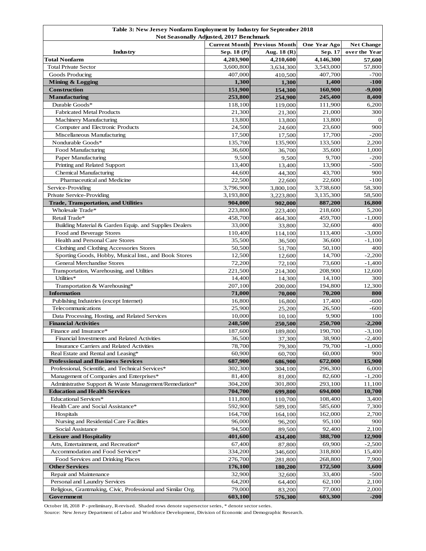| <b>Previous Month</b><br><b>Current Month</b><br>One Year Ago<br><b>Net Change</b><br>Sep. 18 (P)<br>Aug. 18 (R)<br>Sep. 17<br>over the Year<br>Industry<br><b>Total Nonfarm</b><br>4,146,300<br>4,203,900<br>4,210,600<br>57,600<br><b>Total Private Sector</b><br>3,600,800<br>3,543,000<br>3,634,300<br>Goods Producing<br>407,000<br>407,700<br>410,500<br>1,300<br>Mining & Logging<br>1,400<br>1,300<br><b>Construction</b><br>151,900<br>160,900<br>154,300<br><b>Manufacturing</b><br>253,800<br>245,400<br>8,400<br>254,900<br>Durable Goods*<br>118,100<br>111,900<br>119,000<br>21,300<br><b>Fabricated Metal Products</b><br>21,000<br>21,300<br>13,800<br>13,800<br>Machinery Manufacturing<br>13,800<br>Computer and Electronic Products<br>24,500<br>23,600<br>24,600<br>17,500<br>Miscellaneous Manufacturing<br>17,500<br>17,700<br>Nondurable Goods*<br>135,700<br>133,500<br>135,900<br>36,600<br>Food Manufacturing<br>35,600<br>36,700<br>9,500<br>9,700<br>Paper Manufacturing<br>9,500<br>Printing and Related Support<br>13,400<br>13,900<br>13,400<br><b>Chemical Manufacturing</b><br>44,600<br>44,300<br>43,700<br>Pharmaceutical and Medicine<br>22,500<br>22,600<br>22,600<br>3,796,900<br>3,738,600<br>Service-Providing<br>3,800,100<br>3,193,800<br>3,135,300<br>Private Service-Providing<br>3,223,800<br><b>Trade, Transportation, and Utilities</b><br>904,000<br>887,200<br>902,000<br>Wholesale Trade*<br>223,800<br>218,600<br>223,400<br>Retail Trade*<br>458,700<br>459,700<br>464,300<br>Building Material & Garden Equip. and Supplies Dealers<br>33,000<br>32,600<br>33,800<br>110,400<br>113,400<br>Food and Beverage Stores<br>114,100<br>Health and Personal Care Stores<br>35,500<br>36,600<br>36,500<br>Clothing and Clothing Accessories Stores<br>50,500<br>50,100<br>51,700<br>Sporting Goods, Hobby, Musical Inst., and Book Stores<br>12,500<br>14,700<br>12,600<br><b>General Merchandise Stores</b><br>72,200<br>73,600<br>72,100<br>221,500<br>208,900<br>Transportation, Warehousing, and Utilities<br>214,300<br>Utilities*<br>14,400<br>14,100<br>14,300<br>207,100<br>194,800<br>Transportation & Warehousing*<br>200,000<br><b>Information</b><br>71,000<br>70,200<br>70,000<br>Publishing Industries (except Internet)<br>16,800<br>17,400<br>16,800<br>Telecommunications<br>25,900<br>26,500<br>25,200<br>9,900<br>10,000<br>Data Processing, Hosting, and Related Services<br>10,100<br><b>Financial Activities</b><br>248,500<br>250,700<br>$-2,200$<br>250,500<br>Finance and Insurance*<br>190,700<br>$-3,100$<br>187,600<br>189,800<br>38,900<br>Financial Investments and Related Activities<br>36,500<br>$-2,400$<br>37,300<br>79,700<br>78,700<br>Insurance Carriers and Related Activities<br>79,300<br>Real Estate and Rental and Leasing*<br>60,900<br>60,000<br>900<br>60,700<br><b>Professional and Business Services</b><br>687,900<br>672,000<br>15,900<br>686,900<br>Professional, Scientific, and Technical Services*<br>302,300<br>296,300<br>6,000<br>304,100<br>Management of Companies and Enterprises*<br>81,400<br>82,600<br>$-1,200$<br>81,000<br>Administrative Support & Waste Management/Remediation*<br>293,100<br>304,200<br>11,100<br>301,800<br>704,700<br><b>Education and Health Services</b><br>694,000<br>10,700<br>699,800<br>Educational Services*<br>108,400<br>3,400<br>111,800<br>110,700<br>Health Care and Social Assistance*<br>592,900<br>589,100<br>585,600<br>7,300<br>Hospitals<br>164,700<br>162,000<br>2,700<br>164,100<br>Nursing and Residential Care Facilities<br>96,000<br>95,100<br>900<br>96,200<br>Social Assistance<br>92,400<br>94,500<br>89,500<br>2,100<br><b>Leisure and Hospitality</b><br>401,600<br>12,900<br>434,400<br>388,700<br>Arts, Entertainment, and Recreation*<br>67,400<br>69,900<br>$-2,500$<br>87,800<br>Accommodation and Food Services*<br>334,200<br>318,800<br>346,600<br>15,400<br>Food Services and Drinking Places<br>276,700<br>268,800<br>281,800<br>7,900<br><b>Other Services</b><br>176,100<br>172,500<br>3,600<br>180,200<br>Repair and Maintenance<br>32,900<br>33,400<br>$-500$<br>32,600<br>Personal and Laundry Services<br>64,200<br>62,100<br>2,100<br>64,400<br>Religious, Grantmaking, Civic, Professional and Similar Org.<br>79,000<br>77,000<br>2,000<br>83,200<br>Government<br>603,100<br>576,300<br>603,300<br>$-200$ | Table 3: New Jersey Nonfarm Employment by Industry for September 2018<br>Not Seasonally Adjusted, 2017 Benchmark |  |  |  |          |  |
|------------------------------------------------------------------------------------------------------------------------------------------------------------------------------------------------------------------------------------------------------------------------------------------------------------------------------------------------------------------------------------------------------------------------------------------------------------------------------------------------------------------------------------------------------------------------------------------------------------------------------------------------------------------------------------------------------------------------------------------------------------------------------------------------------------------------------------------------------------------------------------------------------------------------------------------------------------------------------------------------------------------------------------------------------------------------------------------------------------------------------------------------------------------------------------------------------------------------------------------------------------------------------------------------------------------------------------------------------------------------------------------------------------------------------------------------------------------------------------------------------------------------------------------------------------------------------------------------------------------------------------------------------------------------------------------------------------------------------------------------------------------------------------------------------------------------------------------------------------------------------------------------------------------------------------------------------------------------------------------------------------------------------------------------------------------------------------------------------------------------------------------------------------------------------------------------------------------------------------------------------------------------------------------------------------------------------------------------------------------------------------------------------------------------------------------------------------------------------------------------------------------------------------------------------------------------------------------------------------------------------------------------------------------------------------------------------------------------------------------------------------------------------------------------------------------------------------------------------------------------------------------------------------------------------------------------------------------------------------------------------------------------------------------------------------------------------------------------------------------------------------------------------------------------------------------------------------------------------------------------------------------------------------------------------------------------------------------------------------------------------------------------------------------------------------------------------------------------------------------------------------------------------------------------------------------------------------------------------------------------------------------------------------------------------------------------------------------------------------------------------------------------------------------------------------------------------------------------------------------------------------------------------------------------------------------------------------------------------------------------------------------------------------------------------------------------------------------------------------------------------------------------------------------------------------------------------------------------------------------------------------------------------------------------------------------------------------------------------------------------------------------------|------------------------------------------------------------------------------------------------------------------|--|--|--|----------|--|
|                                                                                                                                                                                                                                                                                                                                                                                                                                                                                                                                                                                                                                                                                                                                                                                                                                                                                                                                                                                                                                                                                                                                                                                                                                                                                                                                                                                                                                                                                                                                                                                                                                                                                                                                                                                                                                                                                                                                                                                                                                                                                                                                                                                                                                                                                                                                                                                                                                                                                                                                                                                                                                                                                                                                                                                                                                                                                                                                                                                                                                                                                                                                                                                                                                                                                                                                                                                                                                                                                                                                                                                                                                                                                                                                                                                                                                                                                                                                                                                                                                                                                                                                                                                                                                                                                                                                                                                                |                                                                                                                  |  |  |  |          |  |
|                                                                                                                                                                                                                                                                                                                                                                                                                                                                                                                                                                                                                                                                                                                                                                                                                                                                                                                                                                                                                                                                                                                                                                                                                                                                                                                                                                                                                                                                                                                                                                                                                                                                                                                                                                                                                                                                                                                                                                                                                                                                                                                                                                                                                                                                                                                                                                                                                                                                                                                                                                                                                                                                                                                                                                                                                                                                                                                                                                                                                                                                                                                                                                                                                                                                                                                                                                                                                                                                                                                                                                                                                                                                                                                                                                                                                                                                                                                                                                                                                                                                                                                                                                                                                                                                                                                                                                                                |                                                                                                                  |  |  |  |          |  |
|                                                                                                                                                                                                                                                                                                                                                                                                                                                                                                                                                                                                                                                                                                                                                                                                                                                                                                                                                                                                                                                                                                                                                                                                                                                                                                                                                                                                                                                                                                                                                                                                                                                                                                                                                                                                                                                                                                                                                                                                                                                                                                                                                                                                                                                                                                                                                                                                                                                                                                                                                                                                                                                                                                                                                                                                                                                                                                                                                                                                                                                                                                                                                                                                                                                                                                                                                                                                                                                                                                                                                                                                                                                                                                                                                                                                                                                                                                                                                                                                                                                                                                                                                                                                                                                                                                                                                                                                |                                                                                                                  |  |  |  |          |  |
|                                                                                                                                                                                                                                                                                                                                                                                                                                                                                                                                                                                                                                                                                                                                                                                                                                                                                                                                                                                                                                                                                                                                                                                                                                                                                                                                                                                                                                                                                                                                                                                                                                                                                                                                                                                                                                                                                                                                                                                                                                                                                                                                                                                                                                                                                                                                                                                                                                                                                                                                                                                                                                                                                                                                                                                                                                                                                                                                                                                                                                                                                                                                                                                                                                                                                                                                                                                                                                                                                                                                                                                                                                                                                                                                                                                                                                                                                                                                                                                                                                                                                                                                                                                                                                                                                                                                                                                                |                                                                                                                  |  |  |  | 57,800   |  |
|                                                                                                                                                                                                                                                                                                                                                                                                                                                                                                                                                                                                                                                                                                                                                                                                                                                                                                                                                                                                                                                                                                                                                                                                                                                                                                                                                                                                                                                                                                                                                                                                                                                                                                                                                                                                                                                                                                                                                                                                                                                                                                                                                                                                                                                                                                                                                                                                                                                                                                                                                                                                                                                                                                                                                                                                                                                                                                                                                                                                                                                                                                                                                                                                                                                                                                                                                                                                                                                                                                                                                                                                                                                                                                                                                                                                                                                                                                                                                                                                                                                                                                                                                                                                                                                                                                                                                                                                |                                                                                                                  |  |  |  | -700     |  |
|                                                                                                                                                                                                                                                                                                                                                                                                                                                                                                                                                                                                                                                                                                                                                                                                                                                                                                                                                                                                                                                                                                                                                                                                                                                                                                                                                                                                                                                                                                                                                                                                                                                                                                                                                                                                                                                                                                                                                                                                                                                                                                                                                                                                                                                                                                                                                                                                                                                                                                                                                                                                                                                                                                                                                                                                                                                                                                                                                                                                                                                                                                                                                                                                                                                                                                                                                                                                                                                                                                                                                                                                                                                                                                                                                                                                                                                                                                                                                                                                                                                                                                                                                                                                                                                                                                                                                                                                |                                                                                                                  |  |  |  | $-100$   |  |
|                                                                                                                                                                                                                                                                                                                                                                                                                                                                                                                                                                                                                                                                                                                                                                                                                                                                                                                                                                                                                                                                                                                                                                                                                                                                                                                                                                                                                                                                                                                                                                                                                                                                                                                                                                                                                                                                                                                                                                                                                                                                                                                                                                                                                                                                                                                                                                                                                                                                                                                                                                                                                                                                                                                                                                                                                                                                                                                                                                                                                                                                                                                                                                                                                                                                                                                                                                                                                                                                                                                                                                                                                                                                                                                                                                                                                                                                                                                                                                                                                                                                                                                                                                                                                                                                                                                                                                                                |                                                                                                                  |  |  |  | $-9,000$ |  |
|                                                                                                                                                                                                                                                                                                                                                                                                                                                                                                                                                                                                                                                                                                                                                                                                                                                                                                                                                                                                                                                                                                                                                                                                                                                                                                                                                                                                                                                                                                                                                                                                                                                                                                                                                                                                                                                                                                                                                                                                                                                                                                                                                                                                                                                                                                                                                                                                                                                                                                                                                                                                                                                                                                                                                                                                                                                                                                                                                                                                                                                                                                                                                                                                                                                                                                                                                                                                                                                                                                                                                                                                                                                                                                                                                                                                                                                                                                                                                                                                                                                                                                                                                                                                                                                                                                                                                                                                |                                                                                                                  |  |  |  |          |  |
|                                                                                                                                                                                                                                                                                                                                                                                                                                                                                                                                                                                                                                                                                                                                                                                                                                                                                                                                                                                                                                                                                                                                                                                                                                                                                                                                                                                                                                                                                                                                                                                                                                                                                                                                                                                                                                                                                                                                                                                                                                                                                                                                                                                                                                                                                                                                                                                                                                                                                                                                                                                                                                                                                                                                                                                                                                                                                                                                                                                                                                                                                                                                                                                                                                                                                                                                                                                                                                                                                                                                                                                                                                                                                                                                                                                                                                                                                                                                                                                                                                                                                                                                                                                                                                                                                                                                                                                                |                                                                                                                  |  |  |  | 6,200    |  |
|                                                                                                                                                                                                                                                                                                                                                                                                                                                                                                                                                                                                                                                                                                                                                                                                                                                                                                                                                                                                                                                                                                                                                                                                                                                                                                                                                                                                                                                                                                                                                                                                                                                                                                                                                                                                                                                                                                                                                                                                                                                                                                                                                                                                                                                                                                                                                                                                                                                                                                                                                                                                                                                                                                                                                                                                                                                                                                                                                                                                                                                                                                                                                                                                                                                                                                                                                                                                                                                                                                                                                                                                                                                                                                                                                                                                                                                                                                                                                                                                                                                                                                                                                                                                                                                                                                                                                                                                |                                                                                                                  |  |  |  | 300      |  |
|                                                                                                                                                                                                                                                                                                                                                                                                                                                                                                                                                                                                                                                                                                                                                                                                                                                                                                                                                                                                                                                                                                                                                                                                                                                                                                                                                                                                                                                                                                                                                                                                                                                                                                                                                                                                                                                                                                                                                                                                                                                                                                                                                                                                                                                                                                                                                                                                                                                                                                                                                                                                                                                                                                                                                                                                                                                                                                                                                                                                                                                                                                                                                                                                                                                                                                                                                                                                                                                                                                                                                                                                                                                                                                                                                                                                                                                                                                                                                                                                                                                                                                                                                                                                                                                                                                                                                                                                |                                                                                                                  |  |  |  | $\Omega$ |  |
|                                                                                                                                                                                                                                                                                                                                                                                                                                                                                                                                                                                                                                                                                                                                                                                                                                                                                                                                                                                                                                                                                                                                                                                                                                                                                                                                                                                                                                                                                                                                                                                                                                                                                                                                                                                                                                                                                                                                                                                                                                                                                                                                                                                                                                                                                                                                                                                                                                                                                                                                                                                                                                                                                                                                                                                                                                                                                                                                                                                                                                                                                                                                                                                                                                                                                                                                                                                                                                                                                                                                                                                                                                                                                                                                                                                                                                                                                                                                                                                                                                                                                                                                                                                                                                                                                                                                                                                                |                                                                                                                  |  |  |  | 900      |  |
|                                                                                                                                                                                                                                                                                                                                                                                                                                                                                                                                                                                                                                                                                                                                                                                                                                                                                                                                                                                                                                                                                                                                                                                                                                                                                                                                                                                                                                                                                                                                                                                                                                                                                                                                                                                                                                                                                                                                                                                                                                                                                                                                                                                                                                                                                                                                                                                                                                                                                                                                                                                                                                                                                                                                                                                                                                                                                                                                                                                                                                                                                                                                                                                                                                                                                                                                                                                                                                                                                                                                                                                                                                                                                                                                                                                                                                                                                                                                                                                                                                                                                                                                                                                                                                                                                                                                                                                                |                                                                                                                  |  |  |  | $-200$   |  |
|                                                                                                                                                                                                                                                                                                                                                                                                                                                                                                                                                                                                                                                                                                                                                                                                                                                                                                                                                                                                                                                                                                                                                                                                                                                                                                                                                                                                                                                                                                                                                                                                                                                                                                                                                                                                                                                                                                                                                                                                                                                                                                                                                                                                                                                                                                                                                                                                                                                                                                                                                                                                                                                                                                                                                                                                                                                                                                                                                                                                                                                                                                                                                                                                                                                                                                                                                                                                                                                                                                                                                                                                                                                                                                                                                                                                                                                                                                                                                                                                                                                                                                                                                                                                                                                                                                                                                                                                |                                                                                                                  |  |  |  | 2,200    |  |
|                                                                                                                                                                                                                                                                                                                                                                                                                                                                                                                                                                                                                                                                                                                                                                                                                                                                                                                                                                                                                                                                                                                                                                                                                                                                                                                                                                                                                                                                                                                                                                                                                                                                                                                                                                                                                                                                                                                                                                                                                                                                                                                                                                                                                                                                                                                                                                                                                                                                                                                                                                                                                                                                                                                                                                                                                                                                                                                                                                                                                                                                                                                                                                                                                                                                                                                                                                                                                                                                                                                                                                                                                                                                                                                                                                                                                                                                                                                                                                                                                                                                                                                                                                                                                                                                                                                                                                                                |                                                                                                                  |  |  |  | 1,000    |  |
|                                                                                                                                                                                                                                                                                                                                                                                                                                                                                                                                                                                                                                                                                                                                                                                                                                                                                                                                                                                                                                                                                                                                                                                                                                                                                                                                                                                                                                                                                                                                                                                                                                                                                                                                                                                                                                                                                                                                                                                                                                                                                                                                                                                                                                                                                                                                                                                                                                                                                                                                                                                                                                                                                                                                                                                                                                                                                                                                                                                                                                                                                                                                                                                                                                                                                                                                                                                                                                                                                                                                                                                                                                                                                                                                                                                                                                                                                                                                                                                                                                                                                                                                                                                                                                                                                                                                                                                                |                                                                                                                  |  |  |  | $-200$   |  |
|                                                                                                                                                                                                                                                                                                                                                                                                                                                                                                                                                                                                                                                                                                                                                                                                                                                                                                                                                                                                                                                                                                                                                                                                                                                                                                                                                                                                                                                                                                                                                                                                                                                                                                                                                                                                                                                                                                                                                                                                                                                                                                                                                                                                                                                                                                                                                                                                                                                                                                                                                                                                                                                                                                                                                                                                                                                                                                                                                                                                                                                                                                                                                                                                                                                                                                                                                                                                                                                                                                                                                                                                                                                                                                                                                                                                                                                                                                                                                                                                                                                                                                                                                                                                                                                                                                                                                                                                |                                                                                                                  |  |  |  | $-500$   |  |
|                                                                                                                                                                                                                                                                                                                                                                                                                                                                                                                                                                                                                                                                                                                                                                                                                                                                                                                                                                                                                                                                                                                                                                                                                                                                                                                                                                                                                                                                                                                                                                                                                                                                                                                                                                                                                                                                                                                                                                                                                                                                                                                                                                                                                                                                                                                                                                                                                                                                                                                                                                                                                                                                                                                                                                                                                                                                                                                                                                                                                                                                                                                                                                                                                                                                                                                                                                                                                                                                                                                                                                                                                                                                                                                                                                                                                                                                                                                                                                                                                                                                                                                                                                                                                                                                                                                                                                                                |                                                                                                                  |  |  |  | 900      |  |
|                                                                                                                                                                                                                                                                                                                                                                                                                                                                                                                                                                                                                                                                                                                                                                                                                                                                                                                                                                                                                                                                                                                                                                                                                                                                                                                                                                                                                                                                                                                                                                                                                                                                                                                                                                                                                                                                                                                                                                                                                                                                                                                                                                                                                                                                                                                                                                                                                                                                                                                                                                                                                                                                                                                                                                                                                                                                                                                                                                                                                                                                                                                                                                                                                                                                                                                                                                                                                                                                                                                                                                                                                                                                                                                                                                                                                                                                                                                                                                                                                                                                                                                                                                                                                                                                                                                                                                                                |                                                                                                                  |  |  |  | -100     |  |
|                                                                                                                                                                                                                                                                                                                                                                                                                                                                                                                                                                                                                                                                                                                                                                                                                                                                                                                                                                                                                                                                                                                                                                                                                                                                                                                                                                                                                                                                                                                                                                                                                                                                                                                                                                                                                                                                                                                                                                                                                                                                                                                                                                                                                                                                                                                                                                                                                                                                                                                                                                                                                                                                                                                                                                                                                                                                                                                                                                                                                                                                                                                                                                                                                                                                                                                                                                                                                                                                                                                                                                                                                                                                                                                                                                                                                                                                                                                                                                                                                                                                                                                                                                                                                                                                                                                                                                                                |                                                                                                                  |  |  |  | 58,300   |  |
|                                                                                                                                                                                                                                                                                                                                                                                                                                                                                                                                                                                                                                                                                                                                                                                                                                                                                                                                                                                                                                                                                                                                                                                                                                                                                                                                                                                                                                                                                                                                                                                                                                                                                                                                                                                                                                                                                                                                                                                                                                                                                                                                                                                                                                                                                                                                                                                                                                                                                                                                                                                                                                                                                                                                                                                                                                                                                                                                                                                                                                                                                                                                                                                                                                                                                                                                                                                                                                                                                                                                                                                                                                                                                                                                                                                                                                                                                                                                                                                                                                                                                                                                                                                                                                                                                                                                                                                                |                                                                                                                  |  |  |  | 58,500   |  |
|                                                                                                                                                                                                                                                                                                                                                                                                                                                                                                                                                                                                                                                                                                                                                                                                                                                                                                                                                                                                                                                                                                                                                                                                                                                                                                                                                                                                                                                                                                                                                                                                                                                                                                                                                                                                                                                                                                                                                                                                                                                                                                                                                                                                                                                                                                                                                                                                                                                                                                                                                                                                                                                                                                                                                                                                                                                                                                                                                                                                                                                                                                                                                                                                                                                                                                                                                                                                                                                                                                                                                                                                                                                                                                                                                                                                                                                                                                                                                                                                                                                                                                                                                                                                                                                                                                                                                                                                |                                                                                                                  |  |  |  | 16,800   |  |
|                                                                                                                                                                                                                                                                                                                                                                                                                                                                                                                                                                                                                                                                                                                                                                                                                                                                                                                                                                                                                                                                                                                                                                                                                                                                                                                                                                                                                                                                                                                                                                                                                                                                                                                                                                                                                                                                                                                                                                                                                                                                                                                                                                                                                                                                                                                                                                                                                                                                                                                                                                                                                                                                                                                                                                                                                                                                                                                                                                                                                                                                                                                                                                                                                                                                                                                                                                                                                                                                                                                                                                                                                                                                                                                                                                                                                                                                                                                                                                                                                                                                                                                                                                                                                                                                                                                                                                                                |                                                                                                                  |  |  |  | 5,200    |  |
|                                                                                                                                                                                                                                                                                                                                                                                                                                                                                                                                                                                                                                                                                                                                                                                                                                                                                                                                                                                                                                                                                                                                                                                                                                                                                                                                                                                                                                                                                                                                                                                                                                                                                                                                                                                                                                                                                                                                                                                                                                                                                                                                                                                                                                                                                                                                                                                                                                                                                                                                                                                                                                                                                                                                                                                                                                                                                                                                                                                                                                                                                                                                                                                                                                                                                                                                                                                                                                                                                                                                                                                                                                                                                                                                                                                                                                                                                                                                                                                                                                                                                                                                                                                                                                                                                                                                                                                                |                                                                                                                  |  |  |  | $-1,000$ |  |
|                                                                                                                                                                                                                                                                                                                                                                                                                                                                                                                                                                                                                                                                                                                                                                                                                                                                                                                                                                                                                                                                                                                                                                                                                                                                                                                                                                                                                                                                                                                                                                                                                                                                                                                                                                                                                                                                                                                                                                                                                                                                                                                                                                                                                                                                                                                                                                                                                                                                                                                                                                                                                                                                                                                                                                                                                                                                                                                                                                                                                                                                                                                                                                                                                                                                                                                                                                                                                                                                                                                                                                                                                                                                                                                                                                                                                                                                                                                                                                                                                                                                                                                                                                                                                                                                                                                                                                                                |                                                                                                                  |  |  |  | 400      |  |
|                                                                                                                                                                                                                                                                                                                                                                                                                                                                                                                                                                                                                                                                                                                                                                                                                                                                                                                                                                                                                                                                                                                                                                                                                                                                                                                                                                                                                                                                                                                                                                                                                                                                                                                                                                                                                                                                                                                                                                                                                                                                                                                                                                                                                                                                                                                                                                                                                                                                                                                                                                                                                                                                                                                                                                                                                                                                                                                                                                                                                                                                                                                                                                                                                                                                                                                                                                                                                                                                                                                                                                                                                                                                                                                                                                                                                                                                                                                                                                                                                                                                                                                                                                                                                                                                                                                                                                                                |                                                                                                                  |  |  |  | $-3,000$ |  |
|                                                                                                                                                                                                                                                                                                                                                                                                                                                                                                                                                                                                                                                                                                                                                                                                                                                                                                                                                                                                                                                                                                                                                                                                                                                                                                                                                                                                                                                                                                                                                                                                                                                                                                                                                                                                                                                                                                                                                                                                                                                                                                                                                                                                                                                                                                                                                                                                                                                                                                                                                                                                                                                                                                                                                                                                                                                                                                                                                                                                                                                                                                                                                                                                                                                                                                                                                                                                                                                                                                                                                                                                                                                                                                                                                                                                                                                                                                                                                                                                                                                                                                                                                                                                                                                                                                                                                                                                |                                                                                                                  |  |  |  | $-1,100$ |  |
|                                                                                                                                                                                                                                                                                                                                                                                                                                                                                                                                                                                                                                                                                                                                                                                                                                                                                                                                                                                                                                                                                                                                                                                                                                                                                                                                                                                                                                                                                                                                                                                                                                                                                                                                                                                                                                                                                                                                                                                                                                                                                                                                                                                                                                                                                                                                                                                                                                                                                                                                                                                                                                                                                                                                                                                                                                                                                                                                                                                                                                                                                                                                                                                                                                                                                                                                                                                                                                                                                                                                                                                                                                                                                                                                                                                                                                                                                                                                                                                                                                                                                                                                                                                                                                                                                                                                                                                                |                                                                                                                  |  |  |  | 400      |  |
|                                                                                                                                                                                                                                                                                                                                                                                                                                                                                                                                                                                                                                                                                                                                                                                                                                                                                                                                                                                                                                                                                                                                                                                                                                                                                                                                                                                                                                                                                                                                                                                                                                                                                                                                                                                                                                                                                                                                                                                                                                                                                                                                                                                                                                                                                                                                                                                                                                                                                                                                                                                                                                                                                                                                                                                                                                                                                                                                                                                                                                                                                                                                                                                                                                                                                                                                                                                                                                                                                                                                                                                                                                                                                                                                                                                                                                                                                                                                                                                                                                                                                                                                                                                                                                                                                                                                                                                                |                                                                                                                  |  |  |  | $-2,200$ |  |
|                                                                                                                                                                                                                                                                                                                                                                                                                                                                                                                                                                                                                                                                                                                                                                                                                                                                                                                                                                                                                                                                                                                                                                                                                                                                                                                                                                                                                                                                                                                                                                                                                                                                                                                                                                                                                                                                                                                                                                                                                                                                                                                                                                                                                                                                                                                                                                                                                                                                                                                                                                                                                                                                                                                                                                                                                                                                                                                                                                                                                                                                                                                                                                                                                                                                                                                                                                                                                                                                                                                                                                                                                                                                                                                                                                                                                                                                                                                                                                                                                                                                                                                                                                                                                                                                                                                                                                                                |                                                                                                                  |  |  |  | $-1,400$ |  |
|                                                                                                                                                                                                                                                                                                                                                                                                                                                                                                                                                                                                                                                                                                                                                                                                                                                                                                                                                                                                                                                                                                                                                                                                                                                                                                                                                                                                                                                                                                                                                                                                                                                                                                                                                                                                                                                                                                                                                                                                                                                                                                                                                                                                                                                                                                                                                                                                                                                                                                                                                                                                                                                                                                                                                                                                                                                                                                                                                                                                                                                                                                                                                                                                                                                                                                                                                                                                                                                                                                                                                                                                                                                                                                                                                                                                                                                                                                                                                                                                                                                                                                                                                                                                                                                                                                                                                                                                |                                                                                                                  |  |  |  | 12,600   |  |
|                                                                                                                                                                                                                                                                                                                                                                                                                                                                                                                                                                                                                                                                                                                                                                                                                                                                                                                                                                                                                                                                                                                                                                                                                                                                                                                                                                                                                                                                                                                                                                                                                                                                                                                                                                                                                                                                                                                                                                                                                                                                                                                                                                                                                                                                                                                                                                                                                                                                                                                                                                                                                                                                                                                                                                                                                                                                                                                                                                                                                                                                                                                                                                                                                                                                                                                                                                                                                                                                                                                                                                                                                                                                                                                                                                                                                                                                                                                                                                                                                                                                                                                                                                                                                                                                                                                                                                                                |                                                                                                                  |  |  |  | 300      |  |
|                                                                                                                                                                                                                                                                                                                                                                                                                                                                                                                                                                                                                                                                                                                                                                                                                                                                                                                                                                                                                                                                                                                                                                                                                                                                                                                                                                                                                                                                                                                                                                                                                                                                                                                                                                                                                                                                                                                                                                                                                                                                                                                                                                                                                                                                                                                                                                                                                                                                                                                                                                                                                                                                                                                                                                                                                                                                                                                                                                                                                                                                                                                                                                                                                                                                                                                                                                                                                                                                                                                                                                                                                                                                                                                                                                                                                                                                                                                                                                                                                                                                                                                                                                                                                                                                                                                                                                                                |                                                                                                                  |  |  |  | 12,300   |  |
|                                                                                                                                                                                                                                                                                                                                                                                                                                                                                                                                                                                                                                                                                                                                                                                                                                                                                                                                                                                                                                                                                                                                                                                                                                                                                                                                                                                                                                                                                                                                                                                                                                                                                                                                                                                                                                                                                                                                                                                                                                                                                                                                                                                                                                                                                                                                                                                                                                                                                                                                                                                                                                                                                                                                                                                                                                                                                                                                                                                                                                                                                                                                                                                                                                                                                                                                                                                                                                                                                                                                                                                                                                                                                                                                                                                                                                                                                                                                                                                                                                                                                                                                                                                                                                                                                                                                                                                                |                                                                                                                  |  |  |  | 800      |  |
|                                                                                                                                                                                                                                                                                                                                                                                                                                                                                                                                                                                                                                                                                                                                                                                                                                                                                                                                                                                                                                                                                                                                                                                                                                                                                                                                                                                                                                                                                                                                                                                                                                                                                                                                                                                                                                                                                                                                                                                                                                                                                                                                                                                                                                                                                                                                                                                                                                                                                                                                                                                                                                                                                                                                                                                                                                                                                                                                                                                                                                                                                                                                                                                                                                                                                                                                                                                                                                                                                                                                                                                                                                                                                                                                                                                                                                                                                                                                                                                                                                                                                                                                                                                                                                                                                                                                                                                                |                                                                                                                  |  |  |  | -600     |  |
|                                                                                                                                                                                                                                                                                                                                                                                                                                                                                                                                                                                                                                                                                                                                                                                                                                                                                                                                                                                                                                                                                                                                                                                                                                                                                                                                                                                                                                                                                                                                                                                                                                                                                                                                                                                                                                                                                                                                                                                                                                                                                                                                                                                                                                                                                                                                                                                                                                                                                                                                                                                                                                                                                                                                                                                                                                                                                                                                                                                                                                                                                                                                                                                                                                                                                                                                                                                                                                                                                                                                                                                                                                                                                                                                                                                                                                                                                                                                                                                                                                                                                                                                                                                                                                                                                                                                                                                                |                                                                                                                  |  |  |  | -600     |  |
|                                                                                                                                                                                                                                                                                                                                                                                                                                                                                                                                                                                                                                                                                                                                                                                                                                                                                                                                                                                                                                                                                                                                                                                                                                                                                                                                                                                                                                                                                                                                                                                                                                                                                                                                                                                                                                                                                                                                                                                                                                                                                                                                                                                                                                                                                                                                                                                                                                                                                                                                                                                                                                                                                                                                                                                                                                                                                                                                                                                                                                                                                                                                                                                                                                                                                                                                                                                                                                                                                                                                                                                                                                                                                                                                                                                                                                                                                                                                                                                                                                                                                                                                                                                                                                                                                                                                                                                                |                                                                                                                  |  |  |  | 100      |  |
|                                                                                                                                                                                                                                                                                                                                                                                                                                                                                                                                                                                                                                                                                                                                                                                                                                                                                                                                                                                                                                                                                                                                                                                                                                                                                                                                                                                                                                                                                                                                                                                                                                                                                                                                                                                                                                                                                                                                                                                                                                                                                                                                                                                                                                                                                                                                                                                                                                                                                                                                                                                                                                                                                                                                                                                                                                                                                                                                                                                                                                                                                                                                                                                                                                                                                                                                                                                                                                                                                                                                                                                                                                                                                                                                                                                                                                                                                                                                                                                                                                                                                                                                                                                                                                                                                                                                                                                                |                                                                                                                  |  |  |  |          |  |
|                                                                                                                                                                                                                                                                                                                                                                                                                                                                                                                                                                                                                                                                                                                                                                                                                                                                                                                                                                                                                                                                                                                                                                                                                                                                                                                                                                                                                                                                                                                                                                                                                                                                                                                                                                                                                                                                                                                                                                                                                                                                                                                                                                                                                                                                                                                                                                                                                                                                                                                                                                                                                                                                                                                                                                                                                                                                                                                                                                                                                                                                                                                                                                                                                                                                                                                                                                                                                                                                                                                                                                                                                                                                                                                                                                                                                                                                                                                                                                                                                                                                                                                                                                                                                                                                                                                                                                                                |                                                                                                                  |  |  |  |          |  |
|                                                                                                                                                                                                                                                                                                                                                                                                                                                                                                                                                                                                                                                                                                                                                                                                                                                                                                                                                                                                                                                                                                                                                                                                                                                                                                                                                                                                                                                                                                                                                                                                                                                                                                                                                                                                                                                                                                                                                                                                                                                                                                                                                                                                                                                                                                                                                                                                                                                                                                                                                                                                                                                                                                                                                                                                                                                                                                                                                                                                                                                                                                                                                                                                                                                                                                                                                                                                                                                                                                                                                                                                                                                                                                                                                                                                                                                                                                                                                                                                                                                                                                                                                                                                                                                                                                                                                                                                |                                                                                                                  |  |  |  |          |  |
|                                                                                                                                                                                                                                                                                                                                                                                                                                                                                                                                                                                                                                                                                                                                                                                                                                                                                                                                                                                                                                                                                                                                                                                                                                                                                                                                                                                                                                                                                                                                                                                                                                                                                                                                                                                                                                                                                                                                                                                                                                                                                                                                                                                                                                                                                                                                                                                                                                                                                                                                                                                                                                                                                                                                                                                                                                                                                                                                                                                                                                                                                                                                                                                                                                                                                                                                                                                                                                                                                                                                                                                                                                                                                                                                                                                                                                                                                                                                                                                                                                                                                                                                                                                                                                                                                                                                                                                                |                                                                                                                  |  |  |  | $-1,000$ |  |
|                                                                                                                                                                                                                                                                                                                                                                                                                                                                                                                                                                                                                                                                                                                                                                                                                                                                                                                                                                                                                                                                                                                                                                                                                                                                                                                                                                                                                                                                                                                                                                                                                                                                                                                                                                                                                                                                                                                                                                                                                                                                                                                                                                                                                                                                                                                                                                                                                                                                                                                                                                                                                                                                                                                                                                                                                                                                                                                                                                                                                                                                                                                                                                                                                                                                                                                                                                                                                                                                                                                                                                                                                                                                                                                                                                                                                                                                                                                                                                                                                                                                                                                                                                                                                                                                                                                                                                                                |                                                                                                                  |  |  |  |          |  |
|                                                                                                                                                                                                                                                                                                                                                                                                                                                                                                                                                                                                                                                                                                                                                                                                                                                                                                                                                                                                                                                                                                                                                                                                                                                                                                                                                                                                                                                                                                                                                                                                                                                                                                                                                                                                                                                                                                                                                                                                                                                                                                                                                                                                                                                                                                                                                                                                                                                                                                                                                                                                                                                                                                                                                                                                                                                                                                                                                                                                                                                                                                                                                                                                                                                                                                                                                                                                                                                                                                                                                                                                                                                                                                                                                                                                                                                                                                                                                                                                                                                                                                                                                                                                                                                                                                                                                                                                |                                                                                                                  |  |  |  |          |  |
|                                                                                                                                                                                                                                                                                                                                                                                                                                                                                                                                                                                                                                                                                                                                                                                                                                                                                                                                                                                                                                                                                                                                                                                                                                                                                                                                                                                                                                                                                                                                                                                                                                                                                                                                                                                                                                                                                                                                                                                                                                                                                                                                                                                                                                                                                                                                                                                                                                                                                                                                                                                                                                                                                                                                                                                                                                                                                                                                                                                                                                                                                                                                                                                                                                                                                                                                                                                                                                                                                                                                                                                                                                                                                                                                                                                                                                                                                                                                                                                                                                                                                                                                                                                                                                                                                                                                                                                                |                                                                                                                  |  |  |  |          |  |
|                                                                                                                                                                                                                                                                                                                                                                                                                                                                                                                                                                                                                                                                                                                                                                                                                                                                                                                                                                                                                                                                                                                                                                                                                                                                                                                                                                                                                                                                                                                                                                                                                                                                                                                                                                                                                                                                                                                                                                                                                                                                                                                                                                                                                                                                                                                                                                                                                                                                                                                                                                                                                                                                                                                                                                                                                                                                                                                                                                                                                                                                                                                                                                                                                                                                                                                                                                                                                                                                                                                                                                                                                                                                                                                                                                                                                                                                                                                                                                                                                                                                                                                                                                                                                                                                                                                                                                                                |                                                                                                                  |  |  |  |          |  |
|                                                                                                                                                                                                                                                                                                                                                                                                                                                                                                                                                                                                                                                                                                                                                                                                                                                                                                                                                                                                                                                                                                                                                                                                                                                                                                                                                                                                                                                                                                                                                                                                                                                                                                                                                                                                                                                                                                                                                                                                                                                                                                                                                                                                                                                                                                                                                                                                                                                                                                                                                                                                                                                                                                                                                                                                                                                                                                                                                                                                                                                                                                                                                                                                                                                                                                                                                                                                                                                                                                                                                                                                                                                                                                                                                                                                                                                                                                                                                                                                                                                                                                                                                                                                                                                                                                                                                                                                |                                                                                                                  |  |  |  |          |  |
|                                                                                                                                                                                                                                                                                                                                                                                                                                                                                                                                                                                                                                                                                                                                                                                                                                                                                                                                                                                                                                                                                                                                                                                                                                                                                                                                                                                                                                                                                                                                                                                                                                                                                                                                                                                                                                                                                                                                                                                                                                                                                                                                                                                                                                                                                                                                                                                                                                                                                                                                                                                                                                                                                                                                                                                                                                                                                                                                                                                                                                                                                                                                                                                                                                                                                                                                                                                                                                                                                                                                                                                                                                                                                                                                                                                                                                                                                                                                                                                                                                                                                                                                                                                                                                                                                                                                                                                                |                                                                                                                  |  |  |  |          |  |
|                                                                                                                                                                                                                                                                                                                                                                                                                                                                                                                                                                                                                                                                                                                                                                                                                                                                                                                                                                                                                                                                                                                                                                                                                                                                                                                                                                                                                                                                                                                                                                                                                                                                                                                                                                                                                                                                                                                                                                                                                                                                                                                                                                                                                                                                                                                                                                                                                                                                                                                                                                                                                                                                                                                                                                                                                                                                                                                                                                                                                                                                                                                                                                                                                                                                                                                                                                                                                                                                                                                                                                                                                                                                                                                                                                                                                                                                                                                                                                                                                                                                                                                                                                                                                                                                                                                                                                                                |                                                                                                                  |  |  |  |          |  |
|                                                                                                                                                                                                                                                                                                                                                                                                                                                                                                                                                                                                                                                                                                                                                                                                                                                                                                                                                                                                                                                                                                                                                                                                                                                                                                                                                                                                                                                                                                                                                                                                                                                                                                                                                                                                                                                                                                                                                                                                                                                                                                                                                                                                                                                                                                                                                                                                                                                                                                                                                                                                                                                                                                                                                                                                                                                                                                                                                                                                                                                                                                                                                                                                                                                                                                                                                                                                                                                                                                                                                                                                                                                                                                                                                                                                                                                                                                                                                                                                                                                                                                                                                                                                                                                                                                                                                                                                |                                                                                                                  |  |  |  |          |  |
|                                                                                                                                                                                                                                                                                                                                                                                                                                                                                                                                                                                                                                                                                                                                                                                                                                                                                                                                                                                                                                                                                                                                                                                                                                                                                                                                                                                                                                                                                                                                                                                                                                                                                                                                                                                                                                                                                                                                                                                                                                                                                                                                                                                                                                                                                                                                                                                                                                                                                                                                                                                                                                                                                                                                                                                                                                                                                                                                                                                                                                                                                                                                                                                                                                                                                                                                                                                                                                                                                                                                                                                                                                                                                                                                                                                                                                                                                                                                                                                                                                                                                                                                                                                                                                                                                                                                                                                                |                                                                                                                  |  |  |  |          |  |
|                                                                                                                                                                                                                                                                                                                                                                                                                                                                                                                                                                                                                                                                                                                                                                                                                                                                                                                                                                                                                                                                                                                                                                                                                                                                                                                                                                                                                                                                                                                                                                                                                                                                                                                                                                                                                                                                                                                                                                                                                                                                                                                                                                                                                                                                                                                                                                                                                                                                                                                                                                                                                                                                                                                                                                                                                                                                                                                                                                                                                                                                                                                                                                                                                                                                                                                                                                                                                                                                                                                                                                                                                                                                                                                                                                                                                                                                                                                                                                                                                                                                                                                                                                                                                                                                                                                                                                                                |                                                                                                                  |  |  |  |          |  |
|                                                                                                                                                                                                                                                                                                                                                                                                                                                                                                                                                                                                                                                                                                                                                                                                                                                                                                                                                                                                                                                                                                                                                                                                                                                                                                                                                                                                                                                                                                                                                                                                                                                                                                                                                                                                                                                                                                                                                                                                                                                                                                                                                                                                                                                                                                                                                                                                                                                                                                                                                                                                                                                                                                                                                                                                                                                                                                                                                                                                                                                                                                                                                                                                                                                                                                                                                                                                                                                                                                                                                                                                                                                                                                                                                                                                                                                                                                                                                                                                                                                                                                                                                                                                                                                                                                                                                                                                |                                                                                                                  |  |  |  |          |  |
|                                                                                                                                                                                                                                                                                                                                                                                                                                                                                                                                                                                                                                                                                                                                                                                                                                                                                                                                                                                                                                                                                                                                                                                                                                                                                                                                                                                                                                                                                                                                                                                                                                                                                                                                                                                                                                                                                                                                                                                                                                                                                                                                                                                                                                                                                                                                                                                                                                                                                                                                                                                                                                                                                                                                                                                                                                                                                                                                                                                                                                                                                                                                                                                                                                                                                                                                                                                                                                                                                                                                                                                                                                                                                                                                                                                                                                                                                                                                                                                                                                                                                                                                                                                                                                                                                                                                                                                                |                                                                                                                  |  |  |  |          |  |
|                                                                                                                                                                                                                                                                                                                                                                                                                                                                                                                                                                                                                                                                                                                                                                                                                                                                                                                                                                                                                                                                                                                                                                                                                                                                                                                                                                                                                                                                                                                                                                                                                                                                                                                                                                                                                                                                                                                                                                                                                                                                                                                                                                                                                                                                                                                                                                                                                                                                                                                                                                                                                                                                                                                                                                                                                                                                                                                                                                                                                                                                                                                                                                                                                                                                                                                                                                                                                                                                                                                                                                                                                                                                                                                                                                                                                                                                                                                                                                                                                                                                                                                                                                                                                                                                                                                                                                                                |                                                                                                                  |  |  |  |          |  |
|                                                                                                                                                                                                                                                                                                                                                                                                                                                                                                                                                                                                                                                                                                                                                                                                                                                                                                                                                                                                                                                                                                                                                                                                                                                                                                                                                                                                                                                                                                                                                                                                                                                                                                                                                                                                                                                                                                                                                                                                                                                                                                                                                                                                                                                                                                                                                                                                                                                                                                                                                                                                                                                                                                                                                                                                                                                                                                                                                                                                                                                                                                                                                                                                                                                                                                                                                                                                                                                                                                                                                                                                                                                                                                                                                                                                                                                                                                                                                                                                                                                                                                                                                                                                                                                                                                                                                                                                |                                                                                                                  |  |  |  |          |  |
|                                                                                                                                                                                                                                                                                                                                                                                                                                                                                                                                                                                                                                                                                                                                                                                                                                                                                                                                                                                                                                                                                                                                                                                                                                                                                                                                                                                                                                                                                                                                                                                                                                                                                                                                                                                                                                                                                                                                                                                                                                                                                                                                                                                                                                                                                                                                                                                                                                                                                                                                                                                                                                                                                                                                                                                                                                                                                                                                                                                                                                                                                                                                                                                                                                                                                                                                                                                                                                                                                                                                                                                                                                                                                                                                                                                                                                                                                                                                                                                                                                                                                                                                                                                                                                                                                                                                                                                                |                                                                                                                  |  |  |  |          |  |
|                                                                                                                                                                                                                                                                                                                                                                                                                                                                                                                                                                                                                                                                                                                                                                                                                                                                                                                                                                                                                                                                                                                                                                                                                                                                                                                                                                                                                                                                                                                                                                                                                                                                                                                                                                                                                                                                                                                                                                                                                                                                                                                                                                                                                                                                                                                                                                                                                                                                                                                                                                                                                                                                                                                                                                                                                                                                                                                                                                                                                                                                                                                                                                                                                                                                                                                                                                                                                                                                                                                                                                                                                                                                                                                                                                                                                                                                                                                                                                                                                                                                                                                                                                                                                                                                                                                                                                                                |                                                                                                                  |  |  |  |          |  |
|                                                                                                                                                                                                                                                                                                                                                                                                                                                                                                                                                                                                                                                                                                                                                                                                                                                                                                                                                                                                                                                                                                                                                                                                                                                                                                                                                                                                                                                                                                                                                                                                                                                                                                                                                                                                                                                                                                                                                                                                                                                                                                                                                                                                                                                                                                                                                                                                                                                                                                                                                                                                                                                                                                                                                                                                                                                                                                                                                                                                                                                                                                                                                                                                                                                                                                                                                                                                                                                                                                                                                                                                                                                                                                                                                                                                                                                                                                                                                                                                                                                                                                                                                                                                                                                                                                                                                                                                |                                                                                                                  |  |  |  |          |  |
|                                                                                                                                                                                                                                                                                                                                                                                                                                                                                                                                                                                                                                                                                                                                                                                                                                                                                                                                                                                                                                                                                                                                                                                                                                                                                                                                                                                                                                                                                                                                                                                                                                                                                                                                                                                                                                                                                                                                                                                                                                                                                                                                                                                                                                                                                                                                                                                                                                                                                                                                                                                                                                                                                                                                                                                                                                                                                                                                                                                                                                                                                                                                                                                                                                                                                                                                                                                                                                                                                                                                                                                                                                                                                                                                                                                                                                                                                                                                                                                                                                                                                                                                                                                                                                                                                                                                                                                                |                                                                                                                  |  |  |  |          |  |
|                                                                                                                                                                                                                                                                                                                                                                                                                                                                                                                                                                                                                                                                                                                                                                                                                                                                                                                                                                                                                                                                                                                                                                                                                                                                                                                                                                                                                                                                                                                                                                                                                                                                                                                                                                                                                                                                                                                                                                                                                                                                                                                                                                                                                                                                                                                                                                                                                                                                                                                                                                                                                                                                                                                                                                                                                                                                                                                                                                                                                                                                                                                                                                                                                                                                                                                                                                                                                                                                                                                                                                                                                                                                                                                                                                                                                                                                                                                                                                                                                                                                                                                                                                                                                                                                                                                                                                                                |                                                                                                                  |  |  |  |          |  |

October 18, 2018 P - preliminary, R-revised. Shaded rows denote supersector series, \* denote sector series.

Source: New Jersey Department of Labor and Workforce Development, Division of Economic and Demographic Research.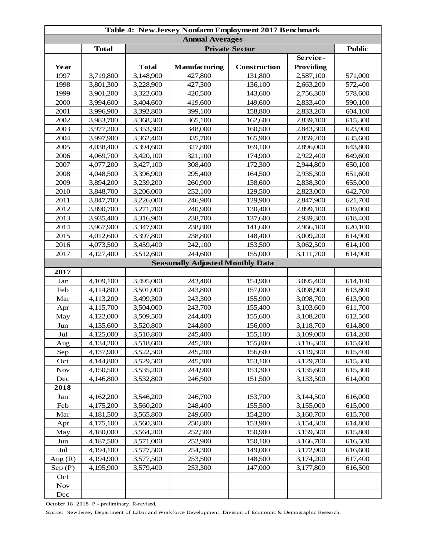| <b>Annual Averages</b><br><b>Total</b><br><b>Private Sector</b><br><b>Public</b><br>Service-<br><b>Total</b><br><b>Manufacturing</b><br>Providing<br>Year<br>Construction<br>1997<br>3,719,800<br>3,148,900<br>427,800<br>131,800<br>2,587,100<br>571,000<br>1998<br>3,801,300<br>3,228,900<br>427,300<br>136,100<br>2,663,200<br>572,400<br>1999<br>3,901,200<br>3,322,600<br>420,500<br>143,600<br>2,756,300<br>578,600<br>2000<br>3,994,600<br>3,404,600<br>419,600<br>149,600<br>590,100<br>2,833,400<br>2001<br>3,996,900<br>3,392,800<br>399,100<br>158,800<br>2,833,200<br>604,100<br>2002<br>365,100<br>162,600<br>615,300<br>3,983,700<br>3,368,300<br>2,839,100<br>2003<br>348,000<br>3,977,200<br>3,353,300<br>160,500<br>2,843,300<br>623,900<br>2004<br>3,362,400<br>335,700<br>165,900<br>635,600<br>3,997,900<br>2,859,200<br>2005<br>4,038,400<br>3,394,600<br>327,800<br>169,100<br>2,896,000<br>643,800<br>2006<br>4,069,700<br>3,420,100<br>321,100<br>174,900<br>2,922,400<br>649,600<br>2007<br>308,400<br>172,300<br>650,100<br>4,077,200<br>3,427,100<br>2,944,800<br>2008<br>651,600<br>4,048,500<br>3,396,900<br>295,400<br>164,500<br>2,935,300<br>2009<br>3,894,200<br>3,239,200<br>260,900<br>138,600<br>2,838,300<br>655,000<br>2010<br>252,100<br>3,848,700<br>3,206,000<br>129,500<br>2,823,000<br>642,700<br>2011<br>3,847,700<br>3,226,000<br>246,900<br>129,900<br>621,700<br>2,847,900<br>2012<br>240,900<br>3,890,700<br>3,271,700<br>130,400<br>2,899,100<br>619,000<br>2013<br>238,700<br>3,935,400<br>3,316,900<br>137,600<br>2,939,300<br>618,400<br>2014<br>3,967,900<br>3,347,900<br>238,800<br>141,600<br>2,966,100<br>620,100<br>2015<br>4,012,600<br>3,397,800<br>238,800<br>148,400<br>3,009,200<br>614,900<br>2016<br>4,073,500<br>3,459,400<br>242,100<br>153,500<br>3,062,500<br>614,100<br>3,512,600<br>244,600<br>155,000<br>2017<br>4,127,400<br>3,111,700<br>614,900<br><b>Seasonally Adjusted Monthly Data</b><br>2017<br>243,400<br>Jan<br>4,109,100<br>3,495,000<br>154,900<br>3,095,400<br>614,100<br>Feb<br>3,501,000<br>243,800<br>157,000<br>3,098,900<br>613,800<br>4,114,800<br>613,900<br>Mar<br>4,113,200<br>3,499,300<br>243,300<br>155,900<br>3,098,700<br>243,700<br>155,400<br>611,700<br>4,115,700<br>3,504,000<br>3,103,600<br>Apr<br>244,400<br>612,500<br>May<br>4,122,000<br>3,509,500<br>155,600<br>3,108,200<br>244,800<br>156,000<br>614,800<br>Jun<br>4,135,600<br>3,520,800<br>3,118,700<br>Jul<br>4,125,000<br>3,510,800<br>245,400<br>155,100<br>3,109,000<br>614,200<br>245,200<br>615,600<br>4,134,200<br>3,518,600<br>155,800<br>3,116,300<br>Aug<br>245,200<br>Sep<br>4,137,900<br>3,522,500<br>156,600<br>3,119,300<br>615,400<br>Oct<br>4,144,800<br>3,529,500<br>245,300<br>153,100<br>3,129,700<br>615,300<br>4,150,500<br>244,900<br>153,300<br>615,300<br><b>Nov</b><br>3,535,200<br>3,135,600<br>3,532,800<br>151,500<br>Dec<br>4,146,800<br>246,500<br>3,133,500<br>614,000<br>2018<br>246,700<br>4,162,200<br>3,546,200<br>153,700<br>3,144,500<br>616,000<br>Jan<br>Feb<br>155,500<br>4,175,200<br>3,560,200<br>248,400<br>3,155,000<br>615,000<br>Mar<br>4,181,500<br>3,565,800<br>249,600<br>154,200<br>615,700<br>3,160,700<br>4,175,100<br>250,800<br>153,900<br>3,560,300<br>3,154,300<br>614,800<br>Apr<br>252,500<br>4,180,000<br>3,564,200<br>150,900<br>3,159,500<br>615,800<br>May<br>4,187,500<br>3,571,000<br>252,900<br>150,100<br>616,500<br>Jun<br>3,166,700<br>$_{\rm{Jul}}$<br>4,194,100<br>3,577,500<br>254,300<br>149,000<br>3,172,900<br>616,600<br>148,500<br>Aug $(R)$<br>4,194,900<br>3,577,500<br>253,500<br>3,174,200<br>617,400<br>Sep(P)<br>4,195,900<br>3,579,400<br>253,300<br>147,000<br>3,177,800<br>616,500<br>Oct<br><b>Nov</b><br>Dec | Table 4: New Jersey Nonfarm Employment 2017 Benchmark |  |  |  |  |  |  |  |
|-----------------------------------------------------------------------------------------------------------------------------------------------------------------------------------------------------------------------------------------------------------------------------------------------------------------------------------------------------------------------------------------------------------------------------------------------------------------------------------------------------------------------------------------------------------------------------------------------------------------------------------------------------------------------------------------------------------------------------------------------------------------------------------------------------------------------------------------------------------------------------------------------------------------------------------------------------------------------------------------------------------------------------------------------------------------------------------------------------------------------------------------------------------------------------------------------------------------------------------------------------------------------------------------------------------------------------------------------------------------------------------------------------------------------------------------------------------------------------------------------------------------------------------------------------------------------------------------------------------------------------------------------------------------------------------------------------------------------------------------------------------------------------------------------------------------------------------------------------------------------------------------------------------------------------------------------------------------------------------------------------------------------------------------------------------------------------------------------------------------------------------------------------------------------------------------------------------------------------------------------------------------------------------------------------------------------------------------------------------------------------------------------------------------------------------------------------------------------------------------------------------------------------------------------------------------------------------------------------------------------------------------------------------------------------------------------------------------------------------------------------------------------------------------------------------------------------------------------------------------------------------------------------------------------------------------------------------------------------------------------------------------------------------------------------------------------------------------------------------------------------------------------------------------------------------------------------------------------------------------------------------------------------------------------------------------------------------------------------------------------------------------------------------------------------------------------------------------------------------------------------------------------------------------------------------------------------------------------------------------------------------------------------------------------------------------------------------------------------------------------------------------------|-------------------------------------------------------|--|--|--|--|--|--|--|
|                                                                                                                                                                                                                                                                                                                                                                                                                                                                                                                                                                                                                                                                                                                                                                                                                                                                                                                                                                                                                                                                                                                                                                                                                                                                                                                                                                                                                                                                                                                                                                                                                                                                                                                                                                                                                                                                                                                                                                                                                                                                                                                                                                                                                                                                                                                                                                                                                                                                                                                                                                                                                                                                                                                                                                                                                                                                                                                                                                                                                                                                                                                                                                                                                                                                                                                                                                                                                                                                                                                                                                                                                                                                                                                                                                       |                                                       |  |  |  |  |  |  |  |
|                                                                                                                                                                                                                                                                                                                                                                                                                                                                                                                                                                                                                                                                                                                                                                                                                                                                                                                                                                                                                                                                                                                                                                                                                                                                                                                                                                                                                                                                                                                                                                                                                                                                                                                                                                                                                                                                                                                                                                                                                                                                                                                                                                                                                                                                                                                                                                                                                                                                                                                                                                                                                                                                                                                                                                                                                                                                                                                                                                                                                                                                                                                                                                                                                                                                                                                                                                                                                                                                                                                                                                                                                                                                                                                                                                       |                                                       |  |  |  |  |  |  |  |
|                                                                                                                                                                                                                                                                                                                                                                                                                                                                                                                                                                                                                                                                                                                                                                                                                                                                                                                                                                                                                                                                                                                                                                                                                                                                                                                                                                                                                                                                                                                                                                                                                                                                                                                                                                                                                                                                                                                                                                                                                                                                                                                                                                                                                                                                                                                                                                                                                                                                                                                                                                                                                                                                                                                                                                                                                                                                                                                                                                                                                                                                                                                                                                                                                                                                                                                                                                                                                                                                                                                                                                                                                                                                                                                                                                       |                                                       |  |  |  |  |  |  |  |
|                                                                                                                                                                                                                                                                                                                                                                                                                                                                                                                                                                                                                                                                                                                                                                                                                                                                                                                                                                                                                                                                                                                                                                                                                                                                                                                                                                                                                                                                                                                                                                                                                                                                                                                                                                                                                                                                                                                                                                                                                                                                                                                                                                                                                                                                                                                                                                                                                                                                                                                                                                                                                                                                                                                                                                                                                                                                                                                                                                                                                                                                                                                                                                                                                                                                                                                                                                                                                                                                                                                                                                                                                                                                                                                                                                       |                                                       |  |  |  |  |  |  |  |
|                                                                                                                                                                                                                                                                                                                                                                                                                                                                                                                                                                                                                                                                                                                                                                                                                                                                                                                                                                                                                                                                                                                                                                                                                                                                                                                                                                                                                                                                                                                                                                                                                                                                                                                                                                                                                                                                                                                                                                                                                                                                                                                                                                                                                                                                                                                                                                                                                                                                                                                                                                                                                                                                                                                                                                                                                                                                                                                                                                                                                                                                                                                                                                                                                                                                                                                                                                                                                                                                                                                                                                                                                                                                                                                                                                       |                                                       |  |  |  |  |  |  |  |
|                                                                                                                                                                                                                                                                                                                                                                                                                                                                                                                                                                                                                                                                                                                                                                                                                                                                                                                                                                                                                                                                                                                                                                                                                                                                                                                                                                                                                                                                                                                                                                                                                                                                                                                                                                                                                                                                                                                                                                                                                                                                                                                                                                                                                                                                                                                                                                                                                                                                                                                                                                                                                                                                                                                                                                                                                                                                                                                                                                                                                                                                                                                                                                                                                                                                                                                                                                                                                                                                                                                                                                                                                                                                                                                                                                       |                                                       |  |  |  |  |  |  |  |
|                                                                                                                                                                                                                                                                                                                                                                                                                                                                                                                                                                                                                                                                                                                                                                                                                                                                                                                                                                                                                                                                                                                                                                                                                                                                                                                                                                                                                                                                                                                                                                                                                                                                                                                                                                                                                                                                                                                                                                                                                                                                                                                                                                                                                                                                                                                                                                                                                                                                                                                                                                                                                                                                                                                                                                                                                                                                                                                                                                                                                                                                                                                                                                                                                                                                                                                                                                                                                                                                                                                                                                                                                                                                                                                                                                       |                                                       |  |  |  |  |  |  |  |
|                                                                                                                                                                                                                                                                                                                                                                                                                                                                                                                                                                                                                                                                                                                                                                                                                                                                                                                                                                                                                                                                                                                                                                                                                                                                                                                                                                                                                                                                                                                                                                                                                                                                                                                                                                                                                                                                                                                                                                                                                                                                                                                                                                                                                                                                                                                                                                                                                                                                                                                                                                                                                                                                                                                                                                                                                                                                                                                                                                                                                                                                                                                                                                                                                                                                                                                                                                                                                                                                                                                                                                                                                                                                                                                                                                       |                                                       |  |  |  |  |  |  |  |
|                                                                                                                                                                                                                                                                                                                                                                                                                                                                                                                                                                                                                                                                                                                                                                                                                                                                                                                                                                                                                                                                                                                                                                                                                                                                                                                                                                                                                                                                                                                                                                                                                                                                                                                                                                                                                                                                                                                                                                                                                                                                                                                                                                                                                                                                                                                                                                                                                                                                                                                                                                                                                                                                                                                                                                                                                                                                                                                                                                                                                                                                                                                                                                                                                                                                                                                                                                                                                                                                                                                                                                                                                                                                                                                                                                       |                                                       |  |  |  |  |  |  |  |
|                                                                                                                                                                                                                                                                                                                                                                                                                                                                                                                                                                                                                                                                                                                                                                                                                                                                                                                                                                                                                                                                                                                                                                                                                                                                                                                                                                                                                                                                                                                                                                                                                                                                                                                                                                                                                                                                                                                                                                                                                                                                                                                                                                                                                                                                                                                                                                                                                                                                                                                                                                                                                                                                                                                                                                                                                                                                                                                                                                                                                                                                                                                                                                                                                                                                                                                                                                                                                                                                                                                                                                                                                                                                                                                                                                       |                                                       |  |  |  |  |  |  |  |
|                                                                                                                                                                                                                                                                                                                                                                                                                                                                                                                                                                                                                                                                                                                                                                                                                                                                                                                                                                                                                                                                                                                                                                                                                                                                                                                                                                                                                                                                                                                                                                                                                                                                                                                                                                                                                                                                                                                                                                                                                                                                                                                                                                                                                                                                                                                                                                                                                                                                                                                                                                                                                                                                                                                                                                                                                                                                                                                                                                                                                                                                                                                                                                                                                                                                                                                                                                                                                                                                                                                                                                                                                                                                                                                                                                       |                                                       |  |  |  |  |  |  |  |
|                                                                                                                                                                                                                                                                                                                                                                                                                                                                                                                                                                                                                                                                                                                                                                                                                                                                                                                                                                                                                                                                                                                                                                                                                                                                                                                                                                                                                                                                                                                                                                                                                                                                                                                                                                                                                                                                                                                                                                                                                                                                                                                                                                                                                                                                                                                                                                                                                                                                                                                                                                                                                                                                                                                                                                                                                                                                                                                                                                                                                                                                                                                                                                                                                                                                                                                                                                                                                                                                                                                                                                                                                                                                                                                                                                       |                                                       |  |  |  |  |  |  |  |
|                                                                                                                                                                                                                                                                                                                                                                                                                                                                                                                                                                                                                                                                                                                                                                                                                                                                                                                                                                                                                                                                                                                                                                                                                                                                                                                                                                                                                                                                                                                                                                                                                                                                                                                                                                                                                                                                                                                                                                                                                                                                                                                                                                                                                                                                                                                                                                                                                                                                                                                                                                                                                                                                                                                                                                                                                                                                                                                                                                                                                                                                                                                                                                                                                                                                                                                                                                                                                                                                                                                                                                                                                                                                                                                                                                       |                                                       |  |  |  |  |  |  |  |
|                                                                                                                                                                                                                                                                                                                                                                                                                                                                                                                                                                                                                                                                                                                                                                                                                                                                                                                                                                                                                                                                                                                                                                                                                                                                                                                                                                                                                                                                                                                                                                                                                                                                                                                                                                                                                                                                                                                                                                                                                                                                                                                                                                                                                                                                                                                                                                                                                                                                                                                                                                                                                                                                                                                                                                                                                                                                                                                                                                                                                                                                                                                                                                                                                                                                                                                                                                                                                                                                                                                                                                                                                                                                                                                                                                       |                                                       |  |  |  |  |  |  |  |
|                                                                                                                                                                                                                                                                                                                                                                                                                                                                                                                                                                                                                                                                                                                                                                                                                                                                                                                                                                                                                                                                                                                                                                                                                                                                                                                                                                                                                                                                                                                                                                                                                                                                                                                                                                                                                                                                                                                                                                                                                                                                                                                                                                                                                                                                                                                                                                                                                                                                                                                                                                                                                                                                                                                                                                                                                                                                                                                                                                                                                                                                                                                                                                                                                                                                                                                                                                                                                                                                                                                                                                                                                                                                                                                                                                       |                                                       |  |  |  |  |  |  |  |
|                                                                                                                                                                                                                                                                                                                                                                                                                                                                                                                                                                                                                                                                                                                                                                                                                                                                                                                                                                                                                                                                                                                                                                                                                                                                                                                                                                                                                                                                                                                                                                                                                                                                                                                                                                                                                                                                                                                                                                                                                                                                                                                                                                                                                                                                                                                                                                                                                                                                                                                                                                                                                                                                                                                                                                                                                                                                                                                                                                                                                                                                                                                                                                                                                                                                                                                                                                                                                                                                                                                                                                                                                                                                                                                                                                       |                                                       |  |  |  |  |  |  |  |
|                                                                                                                                                                                                                                                                                                                                                                                                                                                                                                                                                                                                                                                                                                                                                                                                                                                                                                                                                                                                                                                                                                                                                                                                                                                                                                                                                                                                                                                                                                                                                                                                                                                                                                                                                                                                                                                                                                                                                                                                                                                                                                                                                                                                                                                                                                                                                                                                                                                                                                                                                                                                                                                                                                                                                                                                                                                                                                                                                                                                                                                                                                                                                                                                                                                                                                                                                                                                                                                                                                                                                                                                                                                                                                                                                                       |                                                       |  |  |  |  |  |  |  |
|                                                                                                                                                                                                                                                                                                                                                                                                                                                                                                                                                                                                                                                                                                                                                                                                                                                                                                                                                                                                                                                                                                                                                                                                                                                                                                                                                                                                                                                                                                                                                                                                                                                                                                                                                                                                                                                                                                                                                                                                                                                                                                                                                                                                                                                                                                                                                                                                                                                                                                                                                                                                                                                                                                                                                                                                                                                                                                                                                                                                                                                                                                                                                                                                                                                                                                                                                                                                                                                                                                                                                                                                                                                                                                                                                                       |                                                       |  |  |  |  |  |  |  |
|                                                                                                                                                                                                                                                                                                                                                                                                                                                                                                                                                                                                                                                                                                                                                                                                                                                                                                                                                                                                                                                                                                                                                                                                                                                                                                                                                                                                                                                                                                                                                                                                                                                                                                                                                                                                                                                                                                                                                                                                                                                                                                                                                                                                                                                                                                                                                                                                                                                                                                                                                                                                                                                                                                                                                                                                                                                                                                                                                                                                                                                                                                                                                                                                                                                                                                                                                                                                                                                                                                                                                                                                                                                                                                                                                                       |                                                       |  |  |  |  |  |  |  |
|                                                                                                                                                                                                                                                                                                                                                                                                                                                                                                                                                                                                                                                                                                                                                                                                                                                                                                                                                                                                                                                                                                                                                                                                                                                                                                                                                                                                                                                                                                                                                                                                                                                                                                                                                                                                                                                                                                                                                                                                                                                                                                                                                                                                                                                                                                                                                                                                                                                                                                                                                                                                                                                                                                                                                                                                                                                                                                                                                                                                                                                                                                                                                                                                                                                                                                                                                                                                                                                                                                                                                                                                                                                                                                                                                                       |                                                       |  |  |  |  |  |  |  |
|                                                                                                                                                                                                                                                                                                                                                                                                                                                                                                                                                                                                                                                                                                                                                                                                                                                                                                                                                                                                                                                                                                                                                                                                                                                                                                                                                                                                                                                                                                                                                                                                                                                                                                                                                                                                                                                                                                                                                                                                                                                                                                                                                                                                                                                                                                                                                                                                                                                                                                                                                                                                                                                                                                                                                                                                                                                                                                                                                                                                                                                                                                                                                                                                                                                                                                                                                                                                                                                                                                                                                                                                                                                                                                                                                                       |                                                       |  |  |  |  |  |  |  |
|                                                                                                                                                                                                                                                                                                                                                                                                                                                                                                                                                                                                                                                                                                                                                                                                                                                                                                                                                                                                                                                                                                                                                                                                                                                                                                                                                                                                                                                                                                                                                                                                                                                                                                                                                                                                                                                                                                                                                                                                                                                                                                                                                                                                                                                                                                                                                                                                                                                                                                                                                                                                                                                                                                                                                                                                                                                                                                                                                                                                                                                                                                                                                                                                                                                                                                                                                                                                                                                                                                                                                                                                                                                                                                                                                                       |                                                       |  |  |  |  |  |  |  |
|                                                                                                                                                                                                                                                                                                                                                                                                                                                                                                                                                                                                                                                                                                                                                                                                                                                                                                                                                                                                                                                                                                                                                                                                                                                                                                                                                                                                                                                                                                                                                                                                                                                                                                                                                                                                                                                                                                                                                                                                                                                                                                                                                                                                                                                                                                                                                                                                                                                                                                                                                                                                                                                                                                                                                                                                                                                                                                                                                                                                                                                                                                                                                                                                                                                                                                                                                                                                                                                                                                                                                                                                                                                                                                                                                                       |                                                       |  |  |  |  |  |  |  |
|                                                                                                                                                                                                                                                                                                                                                                                                                                                                                                                                                                                                                                                                                                                                                                                                                                                                                                                                                                                                                                                                                                                                                                                                                                                                                                                                                                                                                                                                                                                                                                                                                                                                                                                                                                                                                                                                                                                                                                                                                                                                                                                                                                                                                                                                                                                                                                                                                                                                                                                                                                                                                                                                                                                                                                                                                                                                                                                                                                                                                                                                                                                                                                                                                                                                                                                                                                                                                                                                                                                                                                                                                                                                                                                                                                       |                                                       |  |  |  |  |  |  |  |
|                                                                                                                                                                                                                                                                                                                                                                                                                                                                                                                                                                                                                                                                                                                                                                                                                                                                                                                                                                                                                                                                                                                                                                                                                                                                                                                                                                                                                                                                                                                                                                                                                                                                                                                                                                                                                                                                                                                                                                                                                                                                                                                                                                                                                                                                                                                                                                                                                                                                                                                                                                                                                                                                                                                                                                                                                                                                                                                                                                                                                                                                                                                                                                                                                                                                                                                                                                                                                                                                                                                                                                                                                                                                                                                                                                       |                                                       |  |  |  |  |  |  |  |
|                                                                                                                                                                                                                                                                                                                                                                                                                                                                                                                                                                                                                                                                                                                                                                                                                                                                                                                                                                                                                                                                                                                                                                                                                                                                                                                                                                                                                                                                                                                                                                                                                                                                                                                                                                                                                                                                                                                                                                                                                                                                                                                                                                                                                                                                                                                                                                                                                                                                                                                                                                                                                                                                                                                                                                                                                                                                                                                                                                                                                                                                                                                                                                                                                                                                                                                                                                                                                                                                                                                                                                                                                                                                                                                                                                       |                                                       |  |  |  |  |  |  |  |
|                                                                                                                                                                                                                                                                                                                                                                                                                                                                                                                                                                                                                                                                                                                                                                                                                                                                                                                                                                                                                                                                                                                                                                                                                                                                                                                                                                                                                                                                                                                                                                                                                                                                                                                                                                                                                                                                                                                                                                                                                                                                                                                                                                                                                                                                                                                                                                                                                                                                                                                                                                                                                                                                                                                                                                                                                                                                                                                                                                                                                                                                                                                                                                                                                                                                                                                                                                                                                                                                                                                                                                                                                                                                                                                                                                       |                                                       |  |  |  |  |  |  |  |
|                                                                                                                                                                                                                                                                                                                                                                                                                                                                                                                                                                                                                                                                                                                                                                                                                                                                                                                                                                                                                                                                                                                                                                                                                                                                                                                                                                                                                                                                                                                                                                                                                                                                                                                                                                                                                                                                                                                                                                                                                                                                                                                                                                                                                                                                                                                                                                                                                                                                                                                                                                                                                                                                                                                                                                                                                                                                                                                                                                                                                                                                                                                                                                                                                                                                                                                                                                                                                                                                                                                                                                                                                                                                                                                                                                       |                                                       |  |  |  |  |  |  |  |
|                                                                                                                                                                                                                                                                                                                                                                                                                                                                                                                                                                                                                                                                                                                                                                                                                                                                                                                                                                                                                                                                                                                                                                                                                                                                                                                                                                                                                                                                                                                                                                                                                                                                                                                                                                                                                                                                                                                                                                                                                                                                                                                                                                                                                                                                                                                                                                                                                                                                                                                                                                                                                                                                                                                                                                                                                                                                                                                                                                                                                                                                                                                                                                                                                                                                                                                                                                                                                                                                                                                                                                                                                                                                                                                                                                       |                                                       |  |  |  |  |  |  |  |
|                                                                                                                                                                                                                                                                                                                                                                                                                                                                                                                                                                                                                                                                                                                                                                                                                                                                                                                                                                                                                                                                                                                                                                                                                                                                                                                                                                                                                                                                                                                                                                                                                                                                                                                                                                                                                                                                                                                                                                                                                                                                                                                                                                                                                                                                                                                                                                                                                                                                                                                                                                                                                                                                                                                                                                                                                                                                                                                                                                                                                                                                                                                                                                                                                                                                                                                                                                                                                                                                                                                                                                                                                                                                                                                                                                       |                                                       |  |  |  |  |  |  |  |
|                                                                                                                                                                                                                                                                                                                                                                                                                                                                                                                                                                                                                                                                                                                                                                                                                                                                                                                                                                                                                                                                                                                                                                                                                                                                                                                                                                                                                                                                                                                                                                                                                                                                                                                                                                                                                                                                                                                                                                                                                                                                                                                                                                                                                                                                                                                                                                                                                                                                                                                                                                                                                                                                                                                                                                                                                                                                                                                                                                                                                                                                                                                                                                                                                                                                                                                                                                                                                                                                                                                                                                                                                                                                                                                                                                       |                                                       |  |  |  |  |  |  |  |
|                                                                                                                                                                                                                                                                                                                                                                                                                                                                                                                                                                                                                                                                                                                                                                                                                                                                                                                                                                                                                                                                                                                                                                                                                                                                                                                                                                                                                                                                                                                                                                                                                                                                                                                                                                                                                                                                                                                                                                                                                                                                                                                                                                                                                                                                                                                                                                                                                                                                                                                                                                                                                                                                                                                                                                                                                                                                                                                                                                                                                                                                                                                                                                                                                                                                                                                                                                                                                                                                                                                                                                                                                                                                                                                                                                       |                                                       |  |  |  |  |  |  |  |
|                                                                                                                                                                                                                                                                                                                                                                                                                                                                                                                                                                                                                                                                                                                                                                                                                                                                                                                                                                                                                                                                                                                                                                                                                                                                                                                                                                                                                                                                                                                                                                                                                                                                                                                                                                                                                                                                                                                                                                                                                                                                                                                                                                                                                                                                                                                                                                                                                                                                                                                                                                                                                                                                                                                                                                                                                                                                                                                                                                                                                                                                                                                                                                                                                                                                                                                                                                                                                                                                                                                                                                                                                                                                                                                                                                       |                                                       |  |  |  |  |  |  |  |
|                                                                                                                                                                                                                                                                                                                                                                                                                                                                                                                                                                                                                                                                                                                                                                                                                                                                                                                                                                                                                                                                                                                                                                                                                                                                                                                                                                                                                                                                                                                                                                                                                                                                                                                                                                                                                                                                                                                                                                                                                                                                                                                                                                                                                                                                                                                                                                                                                                                                                                                                                                                                                                                                                                                                                                                                                                                                                                                                                                                                                                                                                                                                                                                                                                                                                                                                                                                                                                                                                                                                                                                                                                                                                                                                                                       |                                                       |  |  |  |  |  |  |  |
|                                                                                                                                                                                                                                                                                                                                                                                                                                                                                                                                                                                                                                                                                                                                                                                                                                                                                                                                                                                                                                                                                                                                                                                                                                                                                                                                                                                                                                                                                                                                                                                                                                                                                                                                                                                                                                                                                                                                                                                                                                                                                                                                                                                                                                                                                                                                                                                                                                                                                                                                                                                                                                                                                                                                                                                                                                                                                                                                                                                                                                                                                                                                                                                                                                                                                                                                                                                                                                                                                                                                                                                                                                                                                                                                                                       |                                                       |  |  |  |  |  |  |  |
|                                                                                                                                                                                                                                                                                                                                                                                                                                                                                                                                                                                                                                                                                                                                                                                                                                                                                                                                                                                                                                                                                                                                                                                                                                                                                                                                                                                                                                                                                                                                                                                                                                                                                                                                                                                                                                                                                                                                                                                                                                                                                                                                                                                                                                                                                                                                                                                                                                                                                                                                                                                                                                                                                                                                                                                                                                                                                                                                                                                                                                                                                                                                                                                                                                                                                                                                                                                                                                                                                                                                                                                                                                                                                                                                                                       |                                                       |  |  |  |  |  |  |  |
|                                                                                                                                                                                                                                                                                                                                                                                                                                                                                                                                                                                                                                                                                                                                                                                                                                                                                                                                                                                                                                                                                                                                                                                                                                                                                                                                                                                                                                                                                                                                                                                                                                                                                                                                                                                                                                                                                                                                                                                                                                                                                                                                                                                                                                                                                                                                                                                                                                                                                                                                                                                                                                                                                                                                                                                                                                                                                                                                                                                                                                                                                                                                                                                                                                                                                                                                                                                                                                                                                                                                                                                                                                                                                                                                                                       |                                                       |  |  |  |  |  |  |  |
|                                                                                                                                                                                                                                                                                                                                                                                                                                                                                                                                                                                                                                                                                                                                                                                                                                                                                                                                                                                                                                                                                                                                                                                                                                                                                                                                                                                                                                                                                                                                                                                                                                                                                                                                                                                                                                                                                                                                                                                                                                                                                                                                                                                                                                                                                                                                                                                                                                                                                                                                                                                                                                                                                                                                                                                                                                                                                                                                                                                                                                                                                                                                                                                                                                                                                                                                                                                                                                                                                                                                                                                                                                                                                                                                                                       |                                                       |  |  |  |  |  |  |  |
|                                                                                                                                                                                                                                                                                                                                                                                                                                                                                                                                                                                                                                                                                                                                                                                                                                                                                                                                                                                                                                                                                                                                                                                                                                                                                                                                                                                                                                                                                                                                                                                                                                                                                                                                                                                                                                                                                                                                                                                                                                                                                                                                                                                                                                                                                                                                                                                                                                                                                                                                                                                                                                                                                                                                                                                                                                                                                                                                                                                                                                                                                                                                                                                                                                                                                                                                                                                                                                                                                                                                                                                                                                                                                                                                                                       |                                                       |  |  |  |  |  |  |  |
|                                                                                                                                                                                                                                                                                                                                                                                                                                                                                                                                                                                                                                                                                                                                                                                                                                                                                                                                                                                                                                                                                                                                                                                                                                                                                                                                                                                                                                                                                                                                                                                                                                                                                                                                                                                                                                                                                                                                                                                                                                                                                                                                                                                                                                                                                                                                                                                                                                                                                                                                                                                                                                                                                                                                                                                                                                                                                                                                                                                                                                                                                                                                                                                                                                                                                                                                                                                                                                                                                                                                                                                                                                                                                                                                                                       |                                                       |  |  |  |  |  |  |  |
|                                                                                                                                                                                                                                                                                                                                                                                                                                                                                                                                                                                                                                                                                                                                                                                                                                                                                                                                                                                                                                                                                                                                                                                                                                                                                                                                                                                                                                                                                                                                                                                                                                                                                                                                                                                                                                                                                                                                                                                                                                                                                                                                                                                                                                                                                                                                                                                                                                                                                                                                                                                                                                                                                                                                                                                                                                                                                                                                                                                                                                                                                                                                                                                                                                                                                                                                                                                                                                                                                                                                                                                                                                                                                                                                                                       |                                                       |  |  |  |  |  |  |  |
|                                                                                                                                                                                                                                                                                                                                                                                                                                                                                                                                                                                                                                                                                                                                                                                                                                                                                                                                                                                                                                                                                                                                                                                                                                                                                                                                                                                                                                                                                                                                                                                                                                                                                                                                                                                                                                                                                                                                                                                                                                                                                                                                                                                                                                                                                                                                                                                                                                                                                                                                                                                                                                                                                                                                                                                                                                                                                                                                                                                                                                                                                                                                                                                                                                                                                                                                                                                                                                                                                                                                                                                                                                                                                                                                                                       |                                                       |  |  |  |  |  |  |  |
|                                                                                                                                                                                                                                                                                                                                                                                                                                                                                                                                                                                                                                                                                                                                                                                                                                                                                                                                                                                                                                                                                                                                                                                                                                                                                                                                                                                                                                                                                                                                                                                                                                                                                                                                                                                                                                                                                                                                                                                                                                                                                                                                                                                                                                                                                                                                                                                                                                                                                                                                                                                                                                                                                                                                                                                                                                                                                                                                                                                                                                                                                                                                                                                                                                                                                                                                                                                                                                                                                                                                                                                                                                                                                                                                                                       |                                                       |  |  |  |  |  |  |  |
|                                                                                                                                                                                                                                                                                                                                                                                                                                                                                                                                                                                                                                                                                                                                                                                                                                                                                                                                                                                                                                                                                                                                                                                                                                                                                                                                                                                                                                                                                                                                                                                                                                                                                                                                                                                                                                                                                                                                                                                                                                                                                                                                                                                                                                                                                                                                                                                                                                                                                                                                                                                                                                                                                                                                                                                                                                                                                                                                                                                                                                                                                                                                                                                                                                                                                                                                                                                                                                                                                                                                                                                                                                                                                                                                                                       |                                                       |  |  |  |  |  |  |  |
|                                                                                                                                                                                                                                                                                                                                                                                                                                                                                                                                                                                                                                                                                                                                                                                                                                                                                                                                                                                                                                                                                                                                                                                                                                                                                                                                                                                                                                                                                                                                                                                                                                                                                                                                                                                                                                                                                                                                                                                                                                                                                                                                                                                                                                                                                                                                                                                                                                                                                                                                                                                                                                                                                                                                                                                                                                                                                                                                                                                                                                                                                                                                                                                                                                                                                                                                                                                                                                                                                                                                                                                                                                                                                                                                                                       |                                                       |  |  |  |  |  |  |  |
|                                                                                                                                                                                                                                                                                                                                                                                                                                                                                                                                                                                                                                                                                                                                                                                                                                                                                                                                                                                                                                                                                                                                                                                                                                                                                                                                                                                                                                                                                                                                                                                                                                                                                                                                                                                                                                                                                                                                                                                                                                                                                                                                                                                                                                                                                                                                                                                                                                                                                                                                                                                                                                                                                                                                                                                                                                                                                                                                                                                                                                                                                                                                                                                                                                                                                                                                                                                                                                                                                                                                                                                                                                                                                                                                                                       |                                                       |  |  |  |  |  |  |  |
|                                                                                                                                                                                                                                                                                                                                                                                                                                                                                                                                                                                                                                                                                                                                                                                                                                                                                                                                                                                                                                                                                                                                                                                                                                                                                                                                                                                                                                                                                                                                                                                                                                                                                                                                                                                                                                                                                                                                                                                                                                                                                                                                                                                                                                                                                                                                                                                                                                                                                                                                                                                                                                                                                                                                                                                                                                                                                                                                                                                                                                                                                                                                                                                                                                                                                                                                                                                                                                                                                                                                                                                                                                                                                                                                                                       |                                                       |  |  |  |  |  |  |  |
|                                                                                                                                                                                                                                                                                                                                                                                                                                                                                                                                                                                                                                                                                                                                                                                                                                                                                                                                                                                                                                                                                                                                                                                                                                                                                                                                                                                                                                                                                                                                                                                                                                                                                                                                                                                                                                                                                                                                                                                                                                                                                                                                                                                                                                                                                                                                                                                                                                                                                                                                                                                                                                                                                                                                                                                                                                                                                                                                                                                                                                                                                                                                                                                                                                                                                                                                                                                                                                                                                                                                                                                                                                                                                                                                                                       |                                                       |  |  |  |  |  |  |  |
|                                                                                                                                                                                                                                                                                                                                                                                                                                                                                                                                                                                                                                                                                                                                                                                                                                                                                                                                                                                                                                                                                                                                                                                                                                                                                                                                                                                                                                                                                                                                                                                                                                                                                                                                                                                                                                                                                                                                                                                                                                                                                                                                                                                                                                                                                                                                                                                                                                                                                                                                                                                                                                                                                                                                                                                                                                                                                                                                                                                                                                                                                                                                                                                                                                                                                                                                                                                                                                                                                                                                                                                                                                                                                                                                                                       |                                                       |  |  |  |  |  |  |  |
|                                                                                                                                                                                                                                                                                                                                                                                                                                                                                                                                                                                                                                                                                                                                                                                                                                                                                                                                                                                                                                                                                                                                                                                                                                                                                                                                                                                                                                                                                                                                                                                                                                                                                                                                                                                                                                                                                                                                                                                                                                                                                                                                                                                                                                                                                                                                                                                                                                                                                                                                                                                                                                                                                                                                                                                                                                                                                                                                                                                                                                                                                                                                                                                                                                                                                                                                                                                                                                                                                                                                                                                                                                                                                                                                                                       |                                                       |  |  |  |  |  |  |  |
|                                                                                                                                                                                                                                                                                                                                                                                                                                                                                                                                                                                                                                                                                                                                                                                                                                                                                                                                                                                                                                                                                                                                                                                                                                                                                                                                                                                                                                                                                                                                                                                                                                                                                                                                                                                                                                                                                                                                                                                                                                                                                                                                                                                                                                                                                                                                                                                                                                                                                                                                                                                                                                                                                                                                                                                                                                                                                                                                                                                                                                                                                                                                                                                                                                                                                                                                                                                                                                                                                                                                                                                                                                                                                                                                                                       |                                                       |  |  |  |  |  |  |  |
|                                                                                                                                                                                                                                                                                                                                                                                                                                                                                                                                                                                                                                                                                                                                                                                                                                                                                                                                                                                                                                                                                                                                                                                                                                                                                                                                                                                                                                                                                                                                                                                                                                                                                                                                                                                                                                                                                                                                                                                                                                                                                                                                                                                                                                                                                                                                                                                                                                                                                                                                                                                                                                                                                                                                                                                                                                                                                                                                                                                                                                                                                                                                                                                                                                                                                                                                                                                                                                                                                                                                                                                                                                                                                                                                                                       |                                                       |  |  |  |  |  |  |  |

October 18, 2018 P - preliminary, R-revised.

Source: New Jersey Department of Labor and Workforce Development, Division of Economic & Demographic Research.